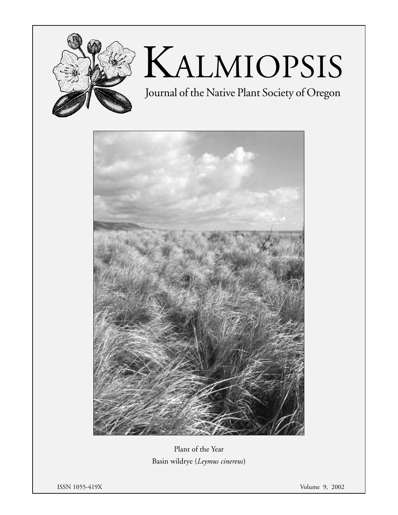

# KALMIOPSIS

Journal of the Native Plant Society of Oregon



Plant of the Year Basin wildrye (*Leymus cinereus*)

ISSN 1055-419X Volume 9, 2002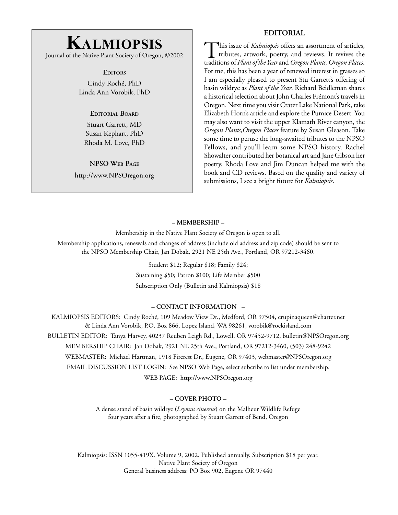### **EDITORIAL**

# **KALMIOPSIS**

Journal of the Native Plant Society of Oregon, ©2002

**EDITORS**

Cindy Roché, PhD Linda Ann Vorobik, PhD

**EDITORIAL BOARD**

Stuart Garrett, MD Susan Kephart, PhD Rhoda M. Love, PhD

**NPSO WEB PAGE** http://www.NPSOregon.org

This issue of *Kalmiopsis* offers an assortment of articles, tributes, artwork, poetry, and reviews. It revives the traditions of *Plant of the Year* and *Oregon Plants, Oregon Places*. For me, this has been a year of renewed interest in grasses so I am especially pleased to present Stu Garrett's offering of basin wildrye as *Plant of the Year*. Richard Beidleman shares a historical selection about John Charles Frémont's travels in Oregon. Next time you visit Crater Lake National Park, take Elizabeth Horn's article and explore the Pumice Desert. You may also want to visit the upper Klamath River canyon, the *Oregon Plants,Oregon Places* feature by Susan Gleason. Take some time to peruse the long-awaited tributes to the NPSO Fellows, and you'll learn some NPSO history. Rachel Showalter contributed her botanical art and Jane Gibson her poetry. Rhoda Love and Jim Duncan helped me with the book and CD reviews. Based on the quality and variety of submissions, I see a bright future for *Kalmiopsis*.

### **– MEMBERSHIP –**

Membership in the Native Plant Society of Oregon is open to all.

Membership applications, renewals and changes of address (include old address and zip code) should be sent to the NPSO Membership Chair, Jan Dobak, 2921 NE 25th Ave., Portland, OR 97212-3460.

> Student \$12; Regular \$18; Family \$24; Sustaining \$50; Patron \$100; Life Member \$500 Subscription Only (Bulletin and Kalmiopsis) \$18

### **– CONTACT INFORMATION** –

KALMIOPSIS EDITORS: Cindy Roché, 109 Meadow View Dr., Medford, OR 97504, crupinaqueen@charter.net & Linda Ann Vorobik, P.O. Box 866, Lopez Island, WA 98261, vorobik@rockisland.com BULLETIN EDITOR: Tanya Harvey, 40237 Reuben Leigh Rd., Lowell, OR 97452-9712, bulletin@NPSOregon.org MEMBERSHIP CHAIR: Jan Dobak, 2921 NE 25th Ave., Portland, OR 97212-3460, (503) 248-9242 WEBMASTER: Michael Hartman, 1918 Fircrest Dr., Eugene, OR 97403, webmaster@NPSOregon.org EMAIL DISCUSSION LIST LOGIN: See NPSO Web Page, select subcribe to list under membership. WEB PAGE: http://www.NPSOregon.org

### **– COVER PHOTO –**

A dense stand of basin wildrye (*Leymus cinereus*) on the Malheur Wildlife Refuge four years after a fire, photographed by Stuart Garrett of Bend, Oregon

Kalmiopsis: ISSN 1055-419X. Volume 9, 2002. Published annually. Subscription \$18 per year. Native Plant Society of Oregon General business address: PO Box 902, Eugene OR 97440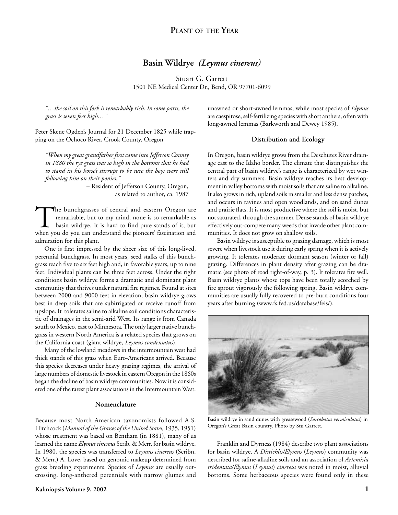# **Basin Wildrye** *(Leymus cinereus)*

Stuart G. Garrett 1501 NE Medical Center Dr., Bend, OR 97701-6099

*"…the soil on this fork is remarkably rich. In some parts, the grass is seven feet high…"*

Peter Skene Ogden's Journal for 21 December 1825 while trapping on the Ochoco River, Crook County, Oregon

*"When my great grandfather first came into Jefferson County in 1880 the rye grass was so high in the bottoms that he had to stand in his horse's stirrups to be sure the boys were still following him on their ponies."*

– Resident of Jefferson County, Oregon, as related to author, ca. 1987

The bunchgrasses of central and eastern Oregon are<br>remarkable, but to my mind, none is so remarkable as<br>basin wildrye. It is hard to find pure stands of it, but<br>when you do you can understand the pioneers' fascination and remarkable, but to my mind, none is so remarkable as basin wildrye. It is hard to find pure stands of it, but when you do you can understand the pioneers' fascination and admiration for this plant.

One is first impressed by the sheer size of this long-lived, perennial bunchgrass. In most years, seed stalks of this bunchgrass reach five to six feet high and, in favorable years, up to nine feet. Individual plants can be three feet across. Under the right conditions basin wildrye forms a dramatic and dominant plant community that thrives under natural fire regimes. Found at sites between 2000 and 9000 feet in elevation, basin wildrye grows best in deep soils that are subirrigated or receive runoff from upslope. It tolerates saline to alkaline soil conditions characteristic of drainages in the semi-arid West. Its range is from Canada south to Mexico, east to Minnesota. The only larger native bunchgrass in western North America is a related species that grows on the California coast (giant wildrye, *Leymus condensatus*).

Many of the lowland meadows in the intermountain west had thick stands of this grass when Euro-Americans arrived. Because this species decreases under heavy grazing regimes, the arrival of large numbers of domestic livestock in eastern Oregon in the 1860s began the decline of basin wildrye communities. Now it is considered one of the rarest plant associations in the Intermountain West.

### **Nomenclature**

Because most North American taxonomists followed A.S. Hitchcock (*Manual of the Grasses of the United States,* 1935, 1951) whose treatment was based on Bentham (in 1881), many of us learned the name *Elymus cinereus* Scrib. & Merr. for basin wildrye. In 1980, the species was transferred to *Leymus cinereus* (Scribn. & Merr.) A. Löve, based on genomic makeup determined from grass breeding experiments. Species of *Leymus* are usually outcrossing, long-anthered perennials with narrow glumes and unawned or short-awned lemmas, while most species of *Elymus* are caespitose, self-fertilizing species with short anthers, often with long-awned lemmas (Barkworth and Dewey 1985).

### **Distribution and Ecology**

In Oregon, basin wildrye grows from the Deschutes River drainage east to the Idaho border. The climate that distinguishes the central part of basin wildrye's range is characterized by wet winters and dry summers. Basin wildrye reaches its best development in valley bottoms with moist soils that are saline to alkaline. It also grows in rich, upland soils in smaller and less dense patches, and occurs in ravines and open woodlands, and on sand dunes and prairie flats. It is most productive where the soil is moist, but not saturated, through the summer. Dense stands of basin wildrye effectively out-compete many weeds that invade other plant communities. It does not grow on shallow soils.

Basin wildrye is susceptible to grazing damage, which is most severe when livestock use it during early spring when it is actively growing. It tolerates moderate dormant season (winter or fall) grazing. Differences in plant density after grazing can be dramatic (see photo of road right-of-way, p. 3). It tolerates fire well. Basin wildrye plants whose tops have been totally scorched by fire sprout vigorously the following spring. Basin wildrye communities are usually fully recovered to pre-burn conditions four years after burning (www.fs.fed.us/database/feis/).



Basin wildrye in sand dunes with greasewood (*Sarcobatus vermiculatus*) in Oregon's Great Basin country. Photo by Stu Garrett.

Franklin and Dyrness (1984) describe two plant associations for basin wildrye. A *Distichlis/Elymus* (*Leymus*) community was described for saline-alkaline soils and an association of *Artemisia tridentata/Elymus* (*Leymus*) *cinereus* was noted in moist, alluvial bottoms. Some herbaceous species were found only in these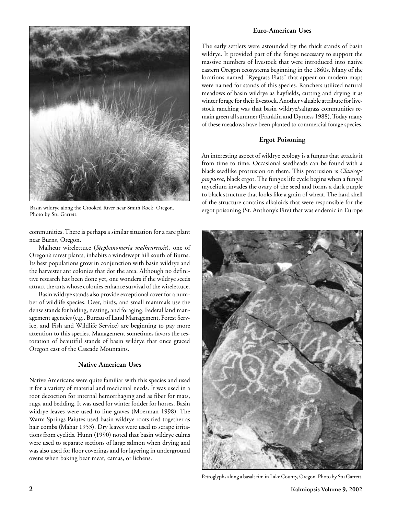

Basin wildrye along the Crooked River near Smith Rock, Oregon. Photo by Stu Garrett.

communities. There is perhaps a similar situation for a rare plant near Burns, Oregon.

Malheur wirelettuce (*Stephanomeria malheurensis*), one of Oregon's rarest plants, inhabits a windswept hill south of Burns. Its best populations grow in conjunction with basin wildrye and the harvester ant colonies that dot the area. Although no definitive research has been done yet, one wonders if the wildrye seeds attract the ants whose colonies enhance survival of the wirelettuce.

Basin wildrye stands also provide exceptional cover for a number of wildlife species. Deer, birds, and small mammals use the dense stands for hiding, nesting, and foraging. Federal land management agencies (e.g., Bureau of Land Management, Forest Service, and Fish and Wildlife Service) are beginning to pay more attention to this species. Management sometimes favors the restoration of beautiful stands of basin wildrye that once graced Oregon east of the Cascade Mountains.

### **Native American Uses**

Native Americans were quite familiar with this species and used it for a variety of material and medicinal needs. It was used in a root decoction for internal hemorrhaging and as fiber for mats, rugs, and bedding. It was used for winter fodder for horses. Basin wildrye leaves were used to line graves (Moerman 1998). The Warm Springs Paiutes used basin wildrye roots tied together as hair combs (Mahar 1953). Dry leaves were used to scrape irritations from eyelids. Hunn (1990) noted that basin wildrye culms were used to separate sections of large salmon when drying and was also used for floor coverings and for layering in underground ovens when baking bear meat, camas, or lichens.

### **Euro-American Uses**

The early settlers were astounded by the thick stands of basin wildrye. It provided part of the forage necessary to support the massive numbers of livestock that were introduced into native eastern Oregon ecosystems beginning in the 1860s. Many of the locations named "Ryegrass Flats" that appear on modern maps were named for stands of this species. Ranchers utilized natural meadows of basin wildrye as hayfields, cutting and drying it as winter forage for their livestock. Another valuable attribute for livestock ranching was that basin wildrye/saltgrass communities remain green all summer (Franklin and Dyrness 1988). Today many of these meadows have been planted to commercial forage species.

### **Ergot Poisoning**

An interesting aspect of wildrye ecology is a fungus that attacks it from time to time. Occasional seedheads can be found with a black seedlike protrusion on them. This protrusion is *Claviceps purpurea*, black ergot. The fungus life cycle begins when a fungal mycelium invades the ovary of the seed and forms a dark purple to black structure that looks like a grain of wheat. The hard shell of the structure contains alkaloids that were responsible for the ergot poisoning (St. Anthony's Fire) that was endemic in Europe



Petroglyphs along a basalt rim in Lake County, Oregon. Photo by Stu Garrett.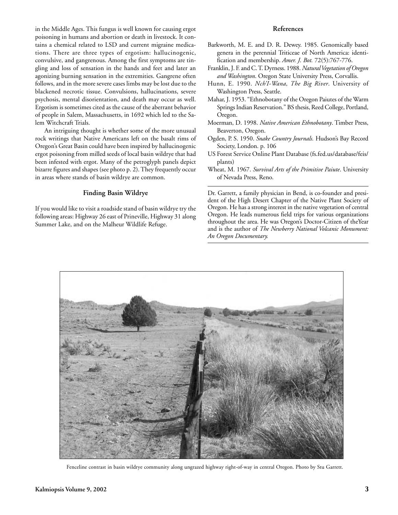in the Middle Ages. This fungus is well known for causing ergot poisoning in humans and abortion or death in livestock. It contains a chemical related to LSD and current migraine medications. There are three types of ergotism: hallucinogenic, convulsive, and gangrenous. Among the first symptoms are tingling and loss of sensation in the hands and feet and later an agonizing burning sensation in the extremities. Gangrene often follows, and in the more severe cases limbs may be lost due to the blackened necrotic tissue. Convulsions, hallucinations, severe psychosis, mental disorientation, and death may occur as well. Ergotism is sometimes cited as the cause of the aberrant behavior of people in Salem, Massachusetts, in 1692 which led to the Salem Witchcraft Trials.

An intriguing thought is whether some of the more unusual rock writings that Native Americans left on the basalt rims of Oregon's Great Basin could have been inspired by hallucinogenic ergot poisoning from milled seeds of local basin wildrye that had been infested with ergot. Many of the petroglyph panels depict bizarre figures and shapes (see photo p. 2). They frequently occur in areas where stands of basin wildrye are common.

### **Finding Basin Wildrye**

If you would like to visit a roadside stand of basin wildrye try the following areas: Highway 26 east of Prineville, Highway 31 along Summer Lake, and on the Malheur Wildlife Refuge.

### **References**

- Barkworth, M. E. and D. R. Dewey. 1985. Genomically based genera in the perennial Triticeae of North America: identification and membership. *Amer. J. Bot.* 72(5):767-776.
- Franklin, J. F. and C. T. Dyrness. 1988. *Natural Vegetation of Oregon and Washington*. Oregon State University Press, Corvallis.
- Hunn, E. 1990. *Nch'I-Wana, The Big River*. University of Washington Press, Seattle.
- Mahar, J. 1953. "Ethnobotany of the Oregon Paiutes of the Warm Springs Indian Reservation." BS thesis, Reed College, Portland, Oregon.
- Moerman, D. 1998. *Native American Ethnobotany*. Timber Press, Beaverton, Oregon.
- Ogden, P. S. 1950. *Snake Country Journals.* Hudson's Bay Record Society, London. p. 106
- US Forest Service Online Plant Database (fs.fed.us/database/feis/ plants)
- Wheat, M. 1967. *Survival Arts of the Primitive Paiute*. University of Nevada Press, Reno.

Dr. Garrett, a family physician in Bend, is co-founder and president of the High Desert Chapter of the Native Plant Society of Oregon. He has a strong interest in the native vegetation of central Oregon. He leads numerous field trips for various organizations throughout the area. He was Oregon's Doctor-Citizen of theYear and is the author of *The Newberry National Volcanic Monument: An Oregon Documentary.*



Fenceline contrast in basin wildrye community along ungrazed highway right-of-way in central Oregon. Photo by Stu Garrett.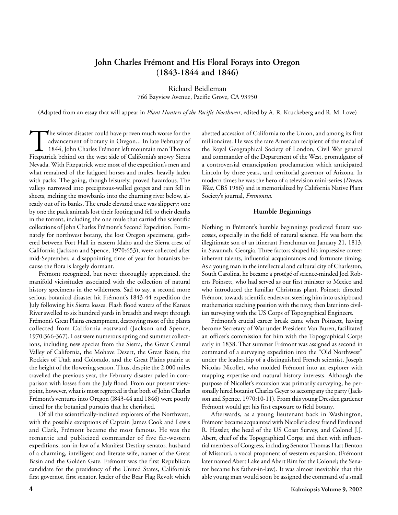# **John Charles Frémont and His Floral Forays into Oregon (1843-1844 and 1846)**

Richard Beidleman 766 Bayview Avenue, Pacific Grove, CA 93950

(Adapted from an essay that will appear in *Plant Hunters of the Pacific Northwest*, edited by A. R. Kruckeberg and R. M. Love)

The winter disaster could have proven much worse for the advancement of botany in Oregon... In late February of 1844, John Charles Frémont left mountain man Thomas Fitzpatrick behind on the west side of California's snowy advancement of botany in Oregon... In late February of 1844, John Charles Frémont left mountain man Thomas Fitzpatrick behind on the west side of California's snowy Sierra Nevada. With Fitzpatrick were most of the expedition's men and what remained of the fatigued horses and mules, heavily laden with packs. The going, though leisurely, proved hazardous. The valleys narrowed into precipitous-walled gorges and rain fell in sheets, melting the snowbanks into the churning river below, already out of its banks. The crude elevated trace was slippery; one by one the pack animals lost their footing and fell to their deaths in the torrent, including the one mule that carried the scientific collections of John Charles Frémont's Second Expedition. Fortunately for northwest botany, the lost Oregon specimens, gathered between Fort Hall in eastern Idaho and the Sierra crest of California (Jackson and Spence, 1970:653), were collected after mid-September, a disappointing time of year for botanists because the flora is largely dormant.

Frémont recognized, but never thoroughly appreciated, the manifold vicissitudes associated with the collection of natural history specimens in the wilderness. Sad to say, a second more serious botanical disaster hit Frémont's 1843-44 expedition the July following his Sierra losses. Flash flood waters of the Kansas River swelled to six hundred yards in breadth and swept through Frémont's Great Plains encampment, destroying most of the plants collected from California eastward (Jackson and Spence, 1970:366-367). Lost were numerous spring and summer collections, including new species from the Sierra, the Great Central Valley of California, the Mohave Desert, the Great Basin, the Rockies of Utah and Colorado, and the Great Plains prairie at the height of the flowering season. Thus, despite the 2,000 miles travelled the previous year, the February disaster paled in comparison with losses from the July flood. From our present viewpoint, however, what is most regretted is that both of John Charles Frémont's ventures into Oregon (l843-44 and 1846) were poorly timed for the botanical pursuits that he cherished.

Of all the scientifically-inclined explorers of the Northwest, with the possible exceptions of Captain James Cook and Lewis and Clark, Frémont became the most famous. He was the romantic and publicized commander of five far-western expeditions, son-in-law of a Manifest Destiny senator, husband of a charming, intelligent and literate wife, namer of the Great Basin and the Golden Gate. Frémont was the first Republican candidate for the presidency of the United States, California's first governor, first senator, leader of the Bear Flag Revolt which

abetted accession of California to the Union, and among its first millionaires. He was the rare American recipient of the medal of the Royal Geographical Society of London, Civil War general and commander of the Department of the West, promulgator of a controversial emancipation proclamation which anticipated Lincoln by three years, and territorial governor of Arizona. In modern times he was the hero of a television mini-series (*Dream West,* CBS 1986) and is memorialized by California Native Plant Society's journal, *Fremontia.*

### **Humble Beginnings**

Nothing in Frémont's humble beginnings predicted future successes, especially in the field of natural science. He was born the illegitimate son of an itinerant Frenchman on January 21, 1813, in Savannah, Georgia. Three factors shaped his impressive career: inherent talents, influential acquaintances and fortunate timing. As a young man in the intellectual and cultural city of Charleston, South Carolina, he became a protégé of science-minded Joel Roberts Poinsett, who had served as our first minister to Mexico and who introduced the familiar Christmas plant. Poinsett directed Frémont towards scientific endeavor, steering him into a shipboard mathematics teaching position with the navy, then later into civilian surveying with the US Corps of Topographical Engineers.

Frémont's crucial career break came when Poinsett, having become Secretary of War under President Van Buren, facilitated an officer's commission for him with the Topographical Corps early in 1838. That summer Frémont was assigned as second in command of a surveying expedition into the "Old Northwest" under the leadership of a distinguished French scientist, Joseph Nicolas Nicollet, who molded Frémont into an explorer with mapping expertise and natural history interests. Although the purpose of Nicollet's excursion was primarily surveying, he personally hired botanist Charles Geyer to accompany the party (Jackson and Spence, 1970:10-11). From this young Dresden gardener Frémont would get his first exposure to field botany.

Afterwards, as a young lieutenant back in Washington, Frémont became acquainted with Nicollet's close friend Ferdinand R. Hassler, the head of the US Coast Survey, and Colonel J.J. Abert, chief of the Topographical Corps; and then with influential members of Congress, including Senator Thomas Hart Benton of Missouri, a vocal proponent of western expansion, (Frémont later named Abert Lake and Abert Rim for the Colonel; the Senator became his father-in-law). It was almost inevitable that this able young man would soon be assigned the command of a small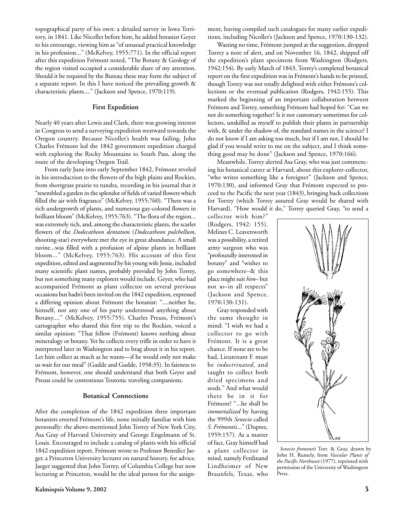topographical party of his own: a detailed survey in Iowa Territory, in 1841. Like Nicollet before him, he added botanist Geyer to his entourage, viewing him as "of unusual practical knowledge in his profession..." (McKelvey, 1955:771). In the official report after this expedition Frémont noted, "The Botany & Geology of the region visited occupied a considerable share of my attention. Should it be required by the Bureau these may form the subject of a separate report. In this I have noticed the prevailing growth & characteristic plants...." (Jackson and Spence, 1970:119).

### **First Expedition**

Nearly 40 years after Lewis and Clark, there was growing interest in Congress to send a surveying expedition westward towards the Oregon country. Because Nicollet's health was failing, John Charles Frémont led the 1842 government expedition charged with exploring the Rocky Mountains to South Pass, along the route of the developing Oregon Trail.

From early June into early September 1842, Frémont reveled in his introduction to the flowers of the high plains and Rockies, from shortgrass prairie to tundra, recording in his journal that it "resembled a garden in the splendor of fields of varied flowers which filled the air with fragrance" (McKelvey, 1955:760). "There was a rich undergrowth of plants, and numerous gay-colored flowers in brilliant bloom" (McKelvey, 1955:763). "The flora of the region... was extremely rich, and, among the characteristic plants, the scarlet flowers of the *Dodecatheon dentatum* (*Dodecatheon pulchellum*, shooting-star) everywhere met the eye in great abundance. A small ravine...was filled with a profusion of alpine plants in brilliant bloom..." (McKelvey, 1955:763). His account of this first expedition, edited and augmented by his young wife Jessie, included many scientific plant names, probably provided by John Torrey, but not something many explorers would include. Geyer, who had accompanied Frémont as plant collector on several previous occasions but hadn't been invited on the 1842 expedition, expressed a differing opinion about Frémont the botanist: "....neither he, himself, nor any one of his party understood anything about Botany...." (McKelvey, 1955:755). Charles Preuss, Frémont's cartographer who shared this first trip to the Rockies, voiced a similar opinion: "That fellow (Frémont) knows nothing about mineralogy or botany. Yet he collects every trifle in order to have it interpreted later in Washington and to brag about it in his report. Let him collect as much as he wants—if he would only not make us wait for our meal" (Gudde and Gudde, 1958:35). In fairness to Frémont, however, one should understand that both Geyer and Preuss could be contentious Teutonic traveling companions.

### **Botanical Connections**

After the completion of the 1842 expedition three important botanists entered Frémont's life, none initially familiar with him personally: the above-mentioned John Torrey of New York City, Asa Gray of Harvard University and George Engelmann of St. Louis. Encouraged to include a catalog of plants with his official 1842 expedition report, Frémont wrote to Professor Benedict Jaeger, a Princeton University lecturer on natural history, for advice. Jaeger suggested that John Torrey, of Columbia College but now lecturing at Princeton, would be the ideal person for the assignment, having compiled such catalogues for many earlier expeditions, including Nicollet's (Jackson and Spence, 1970:130-132).

Wasting no time, Frémont jumped at the suggestion, dropped Torrey a note of alert, and on November 16, 1842, shipped off the expedition's plant specimens from Washington (Rodgers, 1942:154). By early March of 1843, Torrey's completed botanical report on the first expedition was in Frémont's hands to be printed, though Torrey was not totally delighted with either Frémont's collections or the eventual publication (Rodgers, 1942:155). This marked the beginning of an important collaboration between Frémont and Torrey, something Frémont had hoped for: "Can we not do something together? Is it not customary sometimes for collectors, unskilled as myself to publish their plants in partnership with, & under the shadow of, the standard names in the science? I do not know if I am asking too much, but if I am not, I should be glad if you would write to me on the subject, and I think something good may be done" (Jackson and Spence, 1970:166).

Meanwhile, Torrey alerted Asa Gray, who was just commencing his botanical career at Harvard, about this explorer-collector, "who writes something like a foreigner" (Jackson and Spence, 1970:130), and informed Gray that Frémont expected to proceed to the Pacific the next year (1843), bringing back collections for Torrey (which Torrey assured Gray would be shared with Harvard). "How would it do," Torrey queried Gray, "to send a

collector with him?" (Rodgers, 1942: 155). Melines C. Leavenworth was a possibility, a retired army surgeon who was "profoundly interested in botany" and "wishes to go somewhere–& this place might suit *him*– but not *us*–in all respects" (Jackson and Spence, 1970:130-131).

Gray responded with the same thought in mind: "I wish we had a collector to go with Frémont. It is a great chance. If none are to be had, Lieutenant F. must be *indoctrinated*, and taught to collect both dried specimens and seeds." And what would there be in it for Frémont? "...he shall be *immortalized* by having the 999th *Senecio* called *S. Frémontii*..." (Dupree, 1959:157). As a matter of fact, Gray himself had a plant collector in mind, namely Ferdinand Lindheimer of New Braunfels, Texas, who



*Senecio fremontii* Torr. & Gray, drawn by John H. Rumely, from *Vascular Plants of the Pacific Northwest* (1977), reprinted with permission of the University of Washington Press.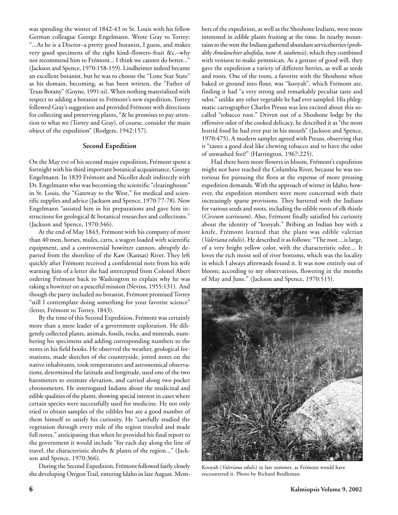was spending the winter of 1842-43 in St. Louis with his fellow German colleague George Engelmann. Wrote Gray to Torrey: "...As he is a Doctor–a pretty good botanist, I guess, and makes very good specimens of the right kind–flowers–fruit &c.–why not recommend him to Frémont... I think we cannot do better..." (Jackson and Spence, 1970:158-159). Lindheimer indeed became an excellent botanist, but he was to choose the "Lone Star State" as his domain, becoming, as has been written, the "Father of Texas Botany" (Goyne, 1991:xi). When nothing materialized with respect to adding a botanist to Frémont's new expedition, Torrey followed Gray's suggestion and provided Frémont with directions for collecting and preserving plants, "& he promises to pay attention to what we (Torrey and Gray), of course, consider the main object of the expedition" (Rodgers, 1942:157).

### **Second Expedition**

On the May eve of his second major expedition, Frémont spent a fortnight with his third important botanical acquaintance, George Engelmann. In 1839 Frémont and Nicollet dealt indirectly with Dr. Engelmann who was becoming the scientific "clearinghouse" in St. Louis, the "Gateway to the West," for medical and scientific supplies and advice (Jackson and Spence, 1970:77-78). Now Engelmann "assisted him in his preparations and gave him instructions for geological & botanical researches and collections." (Jackson and Spence, 1970:346).

At the end of May 1843, Frémont with his company of more than 40 men, horses, mules, carts, a wagon loaded with scientific equipment, and a controversial howitzer cannon, abruptly departed from the shoreline of the Kaw (Kansas) River. They left quickly after Frémont received a confidential note from his wife warning him of a letter she had intercepted from Colonel Abert ordering Frémont back to Washington to explain why he was taking a howitzer on a peaceful mission (Nevins, 1955:131). And though the party included no botanist, Frémont promised Torrey "still I contemplate doing something for your favorite science" (letter, Frémont to Torrey, 1843).

By the time of this Second Expedition, Frémont was certainly more than a mere leader of a government exploration. He diligently collected plants, animals, fossils, rocks, and minerals, numbering his specimens and adding corresponding numbers to the notes in his field books. He observed the weather, geological formations, made sketches of the countryside, jotted notes on the native inhabitants, took temperatures and astronomical observations, determined the latitude and longitude, used one of the two barometers to estimate elevation, and carried along two pocket chronometers. He interrogated Indians about the medicinal and edible qualities of the plants, showing special interest in cases where certain species were successfully used for medicine. He not only tried to obtain samples of the edibles but ate a good number of them himself to satisfy his curiosity. He "carefully studied the vegetation through every mile of the region traveled and made full notes," anticipating that when he provided his final report to the government it would include "for each day along the line of travel, the characteristic shrubs & plants of the region..." (Jackson and Spence, 1970:366).

During the Second Expedition, Frémont followed fairly closely the developing Oregon Trail, entering Idaho in late August. Members of the expedition, as well as the Shoshone Indians, were more interested in edible plants fruiting at the time. In nearby mountains to the west the Indians gathered abundant serviceberries (probably *Amelanchier alnifolia,* now *A*. *utahensis*), which they combined with venison to make pemmican. As a gesture of good will, they gave the expedition a variety of different berries, as well as seeds and roots. One of the roots, a favorite with the Shoshone when baked or ground into flour, was "kooyah", which Frémont ate, finding it had "a very strong and remarkably peculiar taste and odor," unlike any other vegetable he had ever sampled. His phlegmatic cartographer Charles Preuss was less excited about this socalled "tobacco root." Driven out of a Shoshone lodge by the offensive odor of the cooked delicacy, he described it as "the most horrid food he had ever put in his mouth" (Jackson and Spence, 1970:475). A modern sampler agreed with Preuss, observing that it "tastes a good deal like chewing tobacco and to have the odor of unwashed feet!" (Harrington, 1967:225).

Had there been more flowers in bloom, Frémont's expedition might not have reached the Columbia River, because he was notorious for pursuing the flora at the expense of more pressing expedition demands. With the approach of winter in Idaho, however, the expedition members were more concerned with their increasingly sparse provisions. They bartered with the Indians for various seeds and roots, including the edible roots of elk thistle (*Cirsium scariosum*). Also, Frémont finally satisfied his curiosity about the identity of "kooyah." Bribing an Indian boy with a knife, Frémont learned that the plant was edible valerian (*Valeriana edulis*). He described it as follows: "The root....is large, of a very bright yellow color, with the characteristic odor.... It loves the rich moist soil of river bottoms, which was the locality in which I always afterwards found it. It was now entirely out of bloom; according to my observations, flowering in the months of May and June." (Jackson and Spence, 1970:515).



Kooyah (*Valeriana edulis*) in late summer, as Frémont would have encountered it. Photo by Richard Beidleman.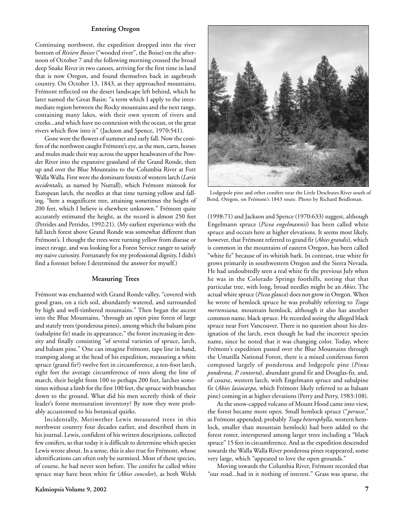### **Entering Oregon**

Continuing northwest, the expedition dropped into the river bottom of *Riviere Boisee* ("wooded river", the Boise) on the afternoon of October 7 and the following morning crossed the broad deep Snake River in two canoes, arriving for the first time in land that is now Oregon, and found themselves back in sagebrush country. On October 13, 1843, as they approached mountains, Frémont reflected on the desert landscape left behind, which he later named the Great Basin: "a term which I apply to the intermediate region between the Rocky mountains and the next range, containing many lakes, with their own system of rivers and creeks...and which have no connexion with the ocean, or the great rivers which flow into it" (Jackson and Spence, 1970:541).

Gone were the flowers of summer and early fall. Now the conifers of the northwest caught Frémont's eye, as the men, carts, horses and mules made their way across the upper headwaters of the Powder River into the expansive grassland of the Grand Ronde, then up and over the Blue Mountains to the Columbia River at Fort Walla Walla. First were the dominant forests of western larch (*Larix occidentalis,* as named by Nuttall), which Frémont mistook for European larch, the needles at that time turning yellow and falling, "here a magnificent tree, attaining sometimes the height of 200 feet, which I believe is elsewhere unknown." Frémont quite accurately estimated the height, as the record is almost 250 feet (Petrides and Petrides, 1992:21). (My earliest experience with the fall larch forest above Grand Ronde was somewhat different than Frémont's. I thought the trees were turning yellow from disease or insect ravage, and was looking for a Forest Service ranger to satisfy my naive curiosity. Fortunately for my professional dignity, I didn't find a forester before I determined the answer for myself.)

### **Measuring Trees**

Frémont was enchanted with Grand Ronde valley, "covered with good grass, on a rich soil, abundantly watered, and surrounded by high and well-timbered mountains." Then began the ascent into the Blue Mountains, "through an open pine forest of large and stately trees (ponderosa pines), among which the balsam pine (subalpine fir) made its appearance," the forest increasing in density and finally consisting "of several varieties of spruce, larch, and balsam pine." One can imagine Frémont, tape line in hand, tramping along at the head of his expedition, measuring a white spruce (grand fir?) twelve feet in circumference, a ten-foot larch, eight feet the average circumference of trees along the line of march, their height from 100 to perhaps 200 feet, larches sometimes without a limb for the first 100 feet, the spruce with branches down to the ground. What did his men secretly think of their leader's forest mensuration inventory? By now they were probably accustomed to his botanical quirks.

Incidentally, Meriwether Lewis measured trees in this northwest country four decades earlier, and described them in his journal. Lewis, confident of his written descriptions, collected few conifers, so that today it is difficult to determine which species Lewis wrote about. In a sense, this is also true for Frémont, whose identifications can often only be surmised. Most of these species, of course, he had never seen before. The conifer he called white spruce may have been white fir (*Abies concolor*), as both Welsh



Lodgepole pine and other conifers near the Little Deschutes River south of Bend, Oregon, on Frémont's 1843 route. Photo by Richard Beidleman.

(1998:71) and Jackson and Spence (1970:633) suggest, although Engelmann spruce (*Picea engelmannii*) has been called white spruce and occurs here at higher elevations. It seems most likely, however, that Frémont referred to grand fir (*Abies grandis*), which is common in the mountains of eastern Oregon, has been called "white fir" because of its whitish bark. In contrast, true white fir grows primarily in southwestern Oregon and the Sierra Nevada. He had undoubtedly seen a real white fir the previous July when he was in the Colorado Springs foothills, noting that that particular tree, with long, broad needles might be an *Abies*. The actual white spruce (*Picea glauca*) does not grow in Oregon. When he wrote of hemlock spruce he was probably referring to *Tsuga mertensiana,* mountain hemlock, although it also has another common name, black spruce. He recorded seeing the alleged black spruce near Fort Vancouver. There is no question about his designation of the larch, even though he had the incorrect species name, since he noted that it was changing color. Today, where Frémont's expedition passed over the Blue Mountains through the Umatilla National Forest, there is a mixed coniferous forest composed largely of ponderosa and lodgepole pine (*Pinus ponderosa, P. contorta*), abundant grand fir and Douglas-fir, and, of course, western larch, with Engelmann spruce and subalpine fir (*Abies lasiocarpa*, which Frémont likely referred to as balsam pine) coming in at higher elevations (Perry and Perry, 1983:108).

As the snow-capped volcano of Mount Hood came into view, the forest became more open. Small hemlock spruce ("*perusse*," as Frémont appended; probably *Tsuga heterophylla*, western hemlock, smaller than mountain hemlock) had been added to the forest roster, interspersed among larger trees including a "black spruce" 15 feet in circumference. And as the expedition descended towards the Walla Walla River ponderosa pines reappeared, some very large, which "appeared to love the open grounds."

Moving towards the Columbia River, Frémont recorded that "our road...had in it nothing of interest." Grass was sparse, the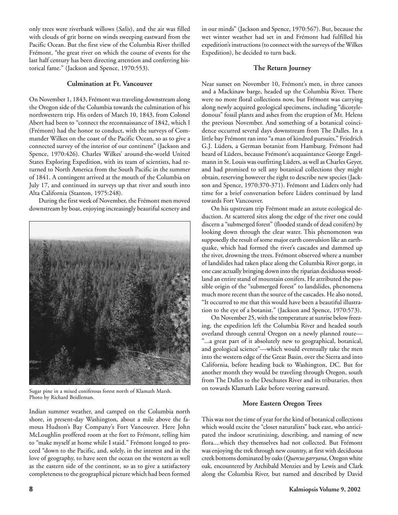only trees were riverbank willows (*Salix*), and the air was filled with clouds of grit borne on winds sweeping eastward from the Pacific Ocean. But the first view of the Columbia River thrilled Frémont, "the great river on which the course of events for the last half century has been directing attention and conferring historical fame." (Jackson and Spence, 1970:553).

### **Culmination at Ft. Vancouver**

On November 1, 1843, Frémont was traveling downstream along the Oregon side of the Columbia towards the culmination of his northwestern trip. His orders of March 10, 1843, from Colonel Abert had been to "connect the reconnaissance of 1842, which I (Frémont) had the honor to conduct, with the surveys of Commander Wilkes on the coast of the Pacific Ocean, so as to give a connected survey of the interior of our continent" (Jackson and Spence, 1970:426). Charles Wilkes' around-the-world United States Exploring Expedition, with its team of scientists, had returned to North America from the South Pacific in the summer of 1841. A contingent arrived at the mouth of the Columbia on July 17, and continued its surveys up that river and south into Alta California (Stanton, 1975:248).

During the first week of November, the Frémont men moved downstream by boat, enjoying increasingly beautiful scenery and



Sugar pine in a mixed coniferous forest north of Klamath Marsh. Photo by Richard Beidleman.

Indian summer weather, and camped on the Columbia north shore, in present-day Washington, about a mile above the famous Hudson's Bay Company's Fort Vancouver. Here John McLoughlin proffered room at the fort to Frémont, telling him to "make myself at home while I staid." Frémont longed to proceed "down to the Pacific, and, solely, in the interest and in the love of geography, to have seen the ocean on the western as well as the eastern side of the continent, so as to give a satisfactory completeness to the geographical picture which had been formed

in our minds" (Jackson and Spence, 1970:567). But, because the wet winter weather had set in and Frémont had fulfilled his expedition's instructions (to connect with the surveys of the Wilkes Expedition), he decided to turn back.

### **The Return Journey**

Near sunset on November 10, Frémont's men, in three canoes and a Mackinaw barge, headed up the Columbia River. There were no more floral collections now, but Frémont was carrying along newly acquired geological specimens, including "dicotyledonous" fossil plants and ashes from the eruption of Mt. Helens the previous November. And something of a botanical coincidence occurred several days downstream from The Dalles. In a little bay Frémont ran into "a man of kindred pursuits," Friedrich G.J. Lüders, a German botanist from Hamburg. Frémont had heard of Lüders, because Frémont's acquaintance George Engelmann in St. Louis was outfitting Lüders, as well as Charles Geyer, and had promised to sell any botanical collections they might obtain, reserving however the right to describe new species (Jackson and Spence, 1970:370-371). Frémont and Lüders only had time for a brief conversation before Lüders continued by land towards Fort Vancouver.

On his upstream trip Frémont made an astute ecological deduction. At scattered sites along the edge of the river one could discern a "submerged forest" (flooded stands of dead conifers) by looking down through the clear water. This phenomenon was supposedly the result of some major earth convulsion like an earthquake, which had formed the river's cascades and dammed up the river, drowning the trees. Frémont observed where a number of landslides had taken place along the Columbia River gorge, in one case actually bringing down into the riparian deciduous woodland an entire stand of mountain conifers. He attributed the possible origin of the "submerged forest" to landslides, phenomena much more recent than the source of the cascades. He also noted, "It occurred to me that this would have been a beautiful illustration to the eye of a botanist." (Jackson and Spence, 1970:573).

On November 25, with the temperature at sunrise below freezing, the expedition left the Columbia River and headed south overland through central Oregon on a newly planned route— "...a great part of it absolutely new to geographical, botanical, and geological science"—which would eventually take the men into the western edge of the Great Basin, over the Sierra and into California, before heading back to Washington, DC. But for another month they would be traveling through Oregon, south from The Dalles to the Deschutes River and its tributaries, then on towards Klamath Lake before veering eastward.

### **More Eastern Oregon Trees**

This was not the time of year for the kind of botanical collections which would excite the "closet naturalists" back east, who anticipated the indoor scrutinizing, describing, and naming of new flora....which they themselves had not collected. But Frémont was enjoying the trek through new country, at first with deciduous creek bottoms dominated by oaks (*Quercus garryana*, Oregon white oak, encountered by Archibald Menzies and by Lewis and Clark along the Columbia River, but named and described by David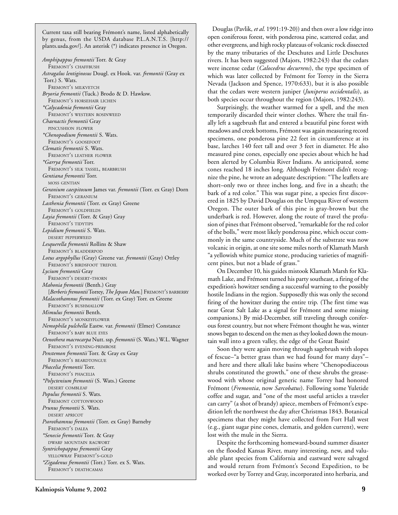Current taxa still bearing Frémont's name, listed alphabetically by genus, from the USDA database P.L.A.N.T.S. [http:// plants.usda.gov/]. An asterisk (\*) indicates presence in Oregon.

*Amphipappus fremontii* Torr. & Gray FREMONT'S CHAFFBUSH *Astragalus lentiginosus* Dougl. ex Hook. var. *fremontii* (Gray ex Torr.) S. Wats. FREMONT'S MILKVETCH *Bryoria fremontii* (Tuck.) Brodo & D. Hawksw. FREMONT'S HORSEHAIR LICHEN *\*Calycadenia fremontii* Gray FREMONT'S WESTERN ROSINWEED *Chaenactis fremontii* Gray PINCUSHION FLOWER *\*Chenopodium fremontii* S. Wats. FREMONT'S GOOSEFOOT *Clematis fremontii* S. Wats. FREMONT'S LEATHER FLOWER *\*Garrya fremontii* Torr. FREMONT'S SILK TASSEL, BEARBRUSH *Gentiana fremontii* Torr. MOSS GENTIAN *Geranium caespitosum* James var. *fremontii* (Torr. ex Gray) Dorn FREMONT'S GERANIUM *Lasthenia fremontii* (Torr. ex Gray) Greene FREMONT'S GOLDFIELDS *Layia fremontii* (Torr. & Gray) Gray FREMONT'S TIDYTIPS *Lepidium fremontii* S. Wats. DESERT PEPPERWEED *Lesquerella fremontii* Rollins & Shaw FREMONT'S BLADDERPOD *Lotus argophyllus* (Gray) Greene var. *fremontii* (Gray) Ottley FREMONT'S BIRDSFOOT TREFOIL *Lycium fremontii* Gray FREMONT'S DESERT-THORN *Mahonia fremontii* (Benth.) Gray [*Berberis fremontii* Torrey, *The Jepson Man.*] FREMONT'S BARBERRY *Malacothamnus fremontii* (Torr. ex Gray) Torr. ex Greene FREMONT'S BUSHMALLOW *Mimulus fremontii* Benth. FREMONT'S MONKEYFLOWER *Nemophila pulchella* Eastw. var. *fremontii* (Elmer) Constance FREMONT'S BABY BLUE EYES *Oenothera macrocarpa* Nutt. ssp. *fremontii* (S. Wats.) W.L. Wagner FREMONT'S EVENING-PRIMROSE *Penstemon fremontii* Torr. & Gray ex Gray FREMONT'S BEARDTONGUE *Phacelia fremontii* Torr. FREMONT'S PHACELIA *\*Polyctenium fremontii* (S. Wats.) Greene DESERT COMBLEAF *Populus fremontii* S. Wats. FREMONT COTTONWOOD *Prunus fremontii* S. Wats. DESERT APRICOT *Psorothamnus fremontii* (Torr. ex Gray) Barneby FREMONT'S DALEA *\*Senecio fremontii* Torr. & Gray DWARF MOUNTAIN RAGWORT *Syntrichopappus fremontii* Gray YELLOWRAY FREMONT'S-GOLD *\*Zigadenus fremontii* (Torr.) Torr. ex S. Wats. FREMONT'S DEATHCAMAS

Douglas (Pavlik, *et al*. 1991:19-20)) and then over a low ridge into open coniferous forest, with ponderosa pine, scattered cedar, and other evergreens, and high rocky plateaus of volcanic rock dissected by the many tributaries of the Deschutes and Little Deschutes rivers. It has been suggested (Majors, 1982:243) that the cedars were incense cedar (*Calocedrus decurrens*), the type specimen of which was later collected by Frémont for Torrey in the Sierra Nevada (Jackson and Spence, 1970:633), but it is also possible that the cedars were western juniper (*Juniperus occidentalis*), as both species occur throughout the region (Majors, 1982:243).

Surprisingly, the weather warmed for a spell, and the men temporarily discarded their winter clothes. Where the trail finally left a sagebrush flat and entered a beautiful pine forest with meadows and creek bottoms, Frémont was again measuring record specimens, one ponderosa pine 22 feet in circumference at its base, larches 140 feet tall and over 3 feet in diameter. He also measured pine cones, especially one species about which he had been alerted by Columbia River Indians. As anticipated, some cones reached 18 inches long. Although Frémont didn't recognize the pine, he wrote an adequate description: "The leaflets are short–only two or three inches long, and five in a sheath; the bark of a red color." This was sugar pine, a species first discovered in 1825 by David Douglas on the Umpqua River of western Oregon. The outer bark of this pine is gray-brown but the underbark is red. However, along the route of travel the profusion of pines that Frémont observed, "remarkable for the red color of the bolls," were most likely ponderosa pine, which occur commonly in the same countryside. Much of the substrate was now volcanic in origin, at one site some miles north of Klamath Marsh "a yellowish white pumice stone, producing varieties of magnificent pines, but not a blade of grass."

On December 10, his guides mistook Klamath Marsh for Klamath Lake, and Frémont turned his party southeast, a firing of the expedition's howitzer sending a successful warning to the possibly hostile Indians in the region. Supposedly this was only the second firing of the howitzer during the entire trip. (The first time was near Great Salt Lake as a signal for Frémont and some missing companions.) By mid-December, still traveling through coniferous forest country, but not where Frémont thought he was, winter snows began to descend on the men as they looked down the mountain wall into a green valley, the edge of the Great Basin!

Soon they were again moving through sagebrush with slopes of fescue–"a better grass than we had found for many days"– and here and there alkali lake basins where "Chenopodiaceous shrubs constituted the growth," one of these shrubs the greasewood with whose original generic name Torrey had honored Frémont (*Fremontia*, now *Sarcobatus*). Following some Yuletide coffee and sugar, and "one of the most useful articles a traveler can carry" (a shot of brandy) apiece, members of Frémont's expedition left the northwest the day after Christmas 1843. Botanical specimens that they might have collected from Fort Hall west (e.g., giant sugar pine cones, clematis, and golden current), were lost with the mule in the Sierra.

Despite the forthcoming homeward-bound summer disaster on the flooded Kansas River, many interesting, new, and valuable plant species from California and eastward were salvaged and would return from Frémont's Second Expedition, to be worked over by Torrey and Gray, incorporated into herbaria, and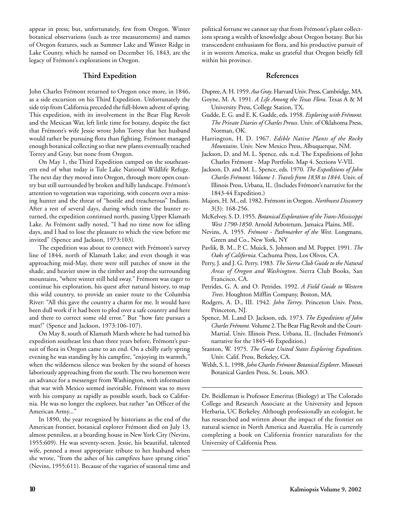appear in press; but, unfortunately, few from Oregon. Winter botanical observations (such as tree measurements) and names of Oregon features, such as Summer Lake and Winter Ridge in Lake County, which he named on December 16, 1843, are the legacy of Frémont's explorations in Oregon.

### **Third Expedition**

John Charles Frémont returned to Oregon once more, in 1846, as a side excursion on his Third Expedition. Unfortunately the side trip from California preceded the full-blown advent of spring. This expedition, with its involvement in the Bear Flag Revolt and the Mexican War, left little time for botany, despite the fact that Frémont's wife Jessie wrote John Torrey that her husband would rather be pursuing flora than fighting. Frémont managed enough botanical collecting so that new plants eventually reached Torrey and Gray, but none from Oregon.

On May 1, the Third Expedition camped on the southeastern end of what today is Tule Lake National Wildlife Refuge. The next day they moved into Oregon, through more open country but still surrounded by broken and hilly landscape. Frémont's attention to vegetation was vaporizing, with concern over a missing hunter and the threat of "hostile and treacherous" Indians. After a rest of several days, during which time the hunter returned, the expedition continued north, passing Upper Klamath Lake. As Frémont sadly noted, "I had no time now for idling days, and I had to lose the pleasure to which the view before me invited" (Spence and Jackson, 1973:103).

The expedition was about to connect with Frémont's survey line of 1844, north of Klamath Lake; and even though it was approaching mid-May, there were still patches of snow in the shade, and heavier snow in the timber and atop the surrounding mountains, "where winter still held sway." Frémont was eager to continue his exploration, his quest after natural history, to map this wild country, to provide an easier route to the Columbia River: "All this gave the country a charm for me. It would have been dull work if it had been to plod over a safe country and here and there to correct some old error." But "how fate pursues a man!" (Spence and Jackson, 1973:106-107).

On May 8, south of Klamath Marsh where he had turned his expedition southeast less than three years before, Frémont's pursuit of flora in Oregon came to an end. On a chilly early spring evening he was standing by his campfire, "enjoying its warmth," when the wilderness silence was broken by the sound of horses laboriously approaching from the south. The two horsemen were an advance for a messenger from Washington, with information that war with Mexico seemed inevitable. Frémont was to move with his company as rapidly as possible south, back to California. He was no longer the explorer, but rather "an Officer of the American Army..."

In 1890, the year recognized by historians as the end of the American frontier, botanical explorer Frémont died on July 13, almost penniless, at a boarding house in New York City (Nevins, 1955:609). He was seventy-seven. Jessie, his beautiful, talented wife, penned a most appropriate tribute to her husband when she wrote, "from the ashes of his campfires have sprung cities" (Nevins, 1955:611). Because of the vagaries of seasonal time and

political fortune we cannot say that from Frémont's plant collections sprang a wealth of knowledge about Oregon botany. But his transcendent enthusiasm for flora, and his productive pursuit of it in western America, make us grateful that Oregon briefly fell within his province.

### **References**

Dupree, A. H. 1959. *Asa Gray*. HarvardUniv. Press, Cambridge, MA.

- Goyne, M. A. 1991. *A Life Among the Texas Flora*. Texas A & M University Press, College Station, TX.
- Gudde, E. G. and E. K. Gudde, eds. 1958. *Exploring with Frémont. The Private Diaries of Charles Preuss*. Univ. of Oklahoma Press, Norman, OK.
- Harrington, H. D. 1967. *Edible Native Plants of the Rocky Mountains*. Univ. New Mexico Press, Albuquerque, NM.
- Jackson, D. and M. L. Spence, eds. n.d. The Expeditions of John Charles Frémont - Map Portfolio. Map 4. Sections V-VII.
- Jackson, D. and M. L. Spence, eds. 1970. *The Expeditions of John Charles Frémont. Volume 1. Travels from 1838 to 1844*. Univ. of Illinois Press, Urbana, IL. (Includes Frémont's narrative for the 1843-44 Expedition.)
- Majors, H. M., ed. 1982. Frémont in Oregon. *Northwest Discovery* 3(3): 168-256.
- McKelvey, S. D. 1955. *Botanical Exploration of the Trans-Mississippi West 1790-1850*. Arnold Arboretum, Jamaica Plains, ME.
- Nevins, A. 1955. *Frémont Pathmarker of the West*. Longmans, Green and Co., New York, NY
- Pavlik, B. M., P. C. Muick, S. Johnson and M. Popper. 1991. *The Oaks of California.* Cachuma Press, Los Olivos, CA.
- Perry, J. and J. G. Perry. 1983. *The Sierra Club Guide to the Natural Areas of Oregon and Washington*. Sierra Club Books, San Francisco, CA.
- Petrides, G. A. and O. Petrides. 1992. *A Field Guide to Western Trees*. Houghton Mifflin Company, Boston, MA.
- Rodgers, A. D., III. 1942. *John Torrey*. Princeton Univ. Press, Princeton, NJ.
- Spence, M. L.and D. Jackson, eds. 1973. *The Expeditions of John Charles Frémont.*Volume 2. The Bear Flag Revolt and the Court-Martial. Univ. Illinois Press, Urbana, IL. (Includes Frémont's narrative for the 1845-46 Expedition.)
- Stanton, W. 1975. *The Great United States Exploring Expedition*. Univ. Calif. Press, Berkeley, CA.

Dr. Beidleman is Professor Emeritus (Biology) at The Colorado College and Research Associate at the University and Jepson Herbaria, UC Berkeley. Although professionally an ecologist, he has researched and written about the impact of the frontier on natural science in North America and Australia. He is currently completing a book on California frontier naturalists for the University of California Press.

Welsh, S. L. 1998. *John Charles Frémont Botanical Explorer*. Missouri Botanical Garden Press, St. Louis, MO.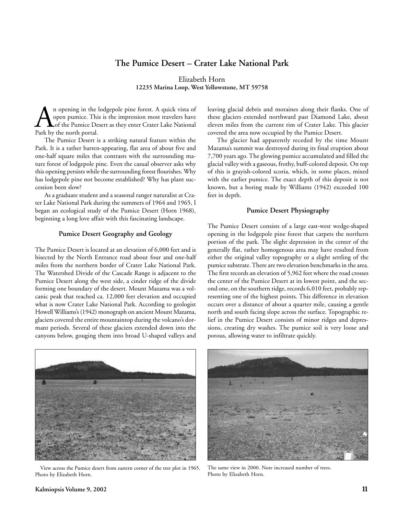# **The Pumice Desert – Crater Lake National Park**

Elizabeth Horn **12235 Marina Loop, West Yellowstone, MT 59758**

An opening in the lodgepole pine forest. A quick vista of open pumice. This is the impression most travelers have of the Pumice Desert as they enter Crater Lake National Park by the north portal. open pumice. This is the impression most travelers have of the Pumice Desert as they enter Crater Lake National Park by the north portal.

The Pumice Desert is a striking natural feature within the Park. It is a rather barren-appearing, flat area of about five and one-half square miles that contrasts with the surrounding mature forest of lodgepole pine. Even the casual observer asks why this opening persists while the surrounding forest flourishes. Why has lodgepole pine not become established? Why has plant succession been slow?

As a graduate student and a seasonal ranger naturalist at Crater Lake National Park during the summers of 1964 and 1965, I began an ecological study of the Pumice Desert (Horn 1968), beginning a long love affair with this fascinating landscape.

### **Pumice Desert Geography and Geology**

The Pumice Desert is located at an elevation of 6,000 feet and is bisected by the North Entrance road about four and one-half miles from the northern border of Crater Lake National Park. The Watershed Divide of the Cascade Range is adjacent to the Pumice Desert along the west side, a cinder ridge of the divide forming one boundary of the desert. Mount Mazama was a volcanic peak that reached ca. 12,000 feet elevation and occupied what is now Crater Lake National Park. According to geologist Howell Williams's (1942) monograph on ancient Mount Mazama, glaciers covered the entire mountaintop during the volcano's dormant periods. Several of these glaciers extended down into the canyons below, gouging them into broad U-shaped valleys and

leaving glacial debris and moraines along their flanks. One of these glaciers extended northward past Diamond Lake, about eleven miles from the current rim of Crater Lake. This glacier covered the area now occupied by the Pumice Desert.

The glacier had apparently receded by the time Mount Mazama's summit was destroyed during its final eruption about 7,700 years ago. The glowing pumice accumulated and filled the glacial valley with a gaseous, frothy, buff-colored deposit. On top of this is grayish-colored scoria, which, in some places, mixed with the earlier pumice. The exact depth of this deposit is not known, but a boring made by Williams (1942) exceeded 100 feet in depth.

### **Pumice Desert Physiography**

The Pumice Desert consists of a large east-west wedge-shaped opening in the lodgepole pine forest that carpets the northern portion of the park. The slight depression in the center of the generally flat, rather homogenous area may have resulted from either the original valley topography or a slight settling of the pumice substrate. There are two elevation benchmarks in the area. The first records an elevation of 5,962 feet where the road crosses the center of the Pumice Desert at its lowest point, and the second one, on the southern ridge, records 6,010 feet, probably representing one of the highest points. This difference in elevation occurs over a distance of about a quarter mile, causing a gentle north and south facing slope across the surface. Topographic relief in the Pumice Desert consists of minor ridges and depressions, creating dry washes. The pumice soil is very loose and porous, allowing water to infiltrate quickly.



View across the Pumice desert from eastern corner of the tree plot in 1965. Photo by Elizabeth Horn.



The same view in 2000. Note increased number of trees. Photo by Elizabeth Horn.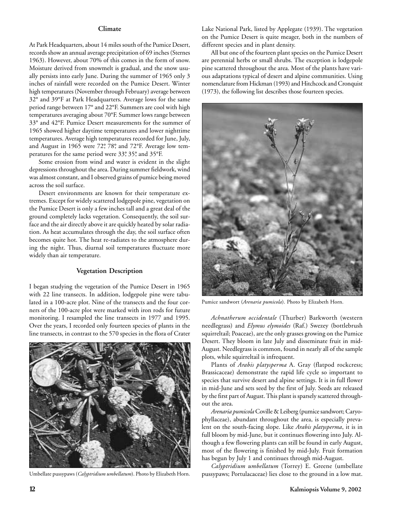### **Climate**

At Park Headquarters, about 14 miles south of the Pumice Desert, records show an annual average precipitation of 69 inches (Sternes 1963). However, about 70% of this comes in the form of snow. Moisture derived from snowmelt is gradual, and the snow usually persists into early June. During the summer of 1965 only 3 inches of rainfall were recorded on the Pumice Desert. Winter high temperatures (November through February) average between 32° and 39°F at Park Headquarters. Average lows for the same period range between 17° and 22°F. Summers are cool with high temperatures averaging about 70°F. Summer lows range between 33° and 42°F. Pumice Desert measurements for the summer of 1965 showed higher daytime temperatures and lower nighttime temperatures. Average high temperatures recorded for June, July, and August in 1965 were 72°, 78°, and 72°F. Average low temperatures for the same period were 33°, 35°, and 35°F.

Some erosion from wind and water is evident in the slight depressions throughout the area. During summer fieldwork, wind was almost constant, and I observed grains of pumice being moved across the soil surface.

Desert environments are known for their temperature extremes. Except for widely scattered lodgepole pine, vegetation on the Pumice Desert is only a few inches tall and a great deal of the ground completely lacks vegetation. Consequently, the soil surface and the air directly above it are quickly heated by solar radiation. As heat accumulates through the day, the soil surface often becomes quite hot. The heat re-radiates to the atmosphere during the night. Thus, diurnal soil temperatures fluctuate more widely than air temperature.

### **Vegetation Description**

I began studying the vegetation of the Pumice Desert in 1965 with 22 line transects. In addition, lodgepole pine were tabulated in a 100-acre plot. Nine of the transects and the four corners of the 100-acre plot were marked with iron rods for future monitoring. I resampled the line transects in 1977 and 1995. Over the years, I recorded only fourteen species of plants in the line transects, in contrast to the 570 species in the flora of Crater



Umbellate pussypaws (*Calyptridium umbellatum*). Photo by Elizabeth Horn.

Lake National Park, listed by Applegate (1939). The vegetation on the Pumice Desert is quite meager, both in the numbers of different species and in plant density.

All but one of the fourteen plant species on the Pumice Desert are perennial herbs or small shrubs. The exception is lodgepole pine scattered throughout the area. Most of the plants have various adaptations typical of desert and alpine communities. Using nomenclature from Hickman (1993) and Hitchcock and Cronquist (1973), the following list describes those fourteen species.



Pumice sandwort (*Arenaria pumicola*). Photo by Elizabeth Horn.

*Achnatherum occidentale* (Thurber) Barkworth (western needlegrass) and *Elymus elymoides* (Raf.) Swezey (bottlebrush squirreltail; Poaceae), are the only grasses growing on the Pumice Desert. They bloom in late July and disseminate fruit in mid-August. Needlegrass is common, found in nearly all of the sample plots, while squirreltail is infrequent.

Plants of *Arabis platysperma* A. Gray (flatpod rockcress; Brassicaceae) demonstrate the rapid life cycle so important to species that survive desert and alpine settings. It is in full flower in mid-June and sets seed by the first of July. Seeds are released by the first part of August. This plant is sparsely scattered throughout the area.

*Arenaria pumicola* Coville & Leiberg (pumice sandwort; Caryophyllaceae), abundant throughout the area, is especially prevalent on the south-facing slope. Like *Arabis platysperma*, it is in full bloom by mid-June, but it continues flowering into July. Although a few flowering plants can still be found in early August, most of the flowering is finished by mid-July. Fruit formation has begun by July 1 and continues through mid-August.

*Calyptridium umbellatum* (Torrey) E. Greene (umbellate pussypaws; Portulacaceae) lies close to the ground in a low mat.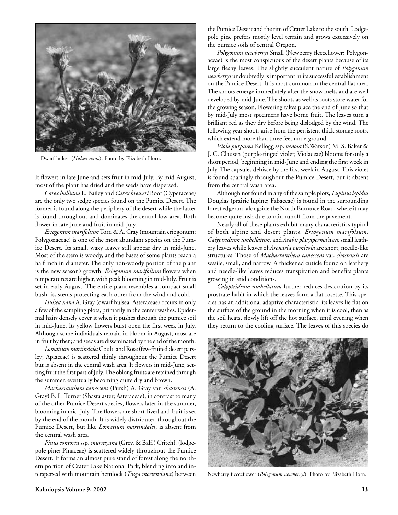

Dwarf hulsea (*Hulsea nana*). Photo by Elizabeth Horn.

It flowers in late June and sets fruit in mid-July. By mid-August, most of the plant has dried and the seeds have dispersed.

*Carex halliana* L. Bailey and *Carex breweri* Boot (Cyperaceae) are the only two sedge species found on the Pumice Desert. The former is found along the periphery of the desert while the latter is found throughout and dominates the central low area. Both flower in late June and fruit in mid-July.

*Eriogonum marifolium*Torr. & A. Gray (mountain eriogonum; Polygonaceae) is one of the most abundant species on the Pumice Desert. Its small, waxy leaves still appear dry in mid-June. Most of the stem is woody, and the bases of some plants reach a half inch in diameter. The only non-woody portion of the plant is the new season's growth. *Eriogonum marifolium* flowers when temperatures are higher, with peak blooming in mid-July. Fruit is set in early August. The entire plant resembles a compact small bush, its stems protecting each other from the wind and cold.

*Hulsea nana* A. Gray (dwarf hulsea; Asteraceae) occurs in only a few of the sampling plots, primarily in the center washes. Epidermal hairs densely cover it when it pushes through the pumice soil in mid-June. Its yellow flowers burst open the first week in July. Although some individuals remain in bloom in August, most are in fruit by then; and seeds are disseminated by the end of the month.

*Lomatium martindalei* Coult. and Rose (few-fruited desert parsley; Apiaceae) is scattered thinly throughout the Pumice Desert but is absent in the central wash area. It flowers in mid-June, setting fruit the first part of July. The oblong fruits are retained through the summer, eventually becoming quite dry and brown.

*Machaeranthera canescens* (Pursh) A. Gray var. *shastensis* (A. Gray) B. L. Turner (Shasta aster; Asteraceae), in contrast to many of the other Pumice Desert species, flowers later in the summer, blooming in mid-July. The flowers are short-lived and fruit is set by the end of the month. It is widely distributed throughout the Pumice Desert, but like *Lomatium martindalei*, is absent from the central wash area.

*Pinus contorta* ssp. *murrayana* (Grev. & Balf.) Critchf. (lodgepole pine; Pinaceae) is scattered widely throughout the Pumice Desert. It forms an almost pure stand of forest along the northern portion of Crater Lake National Park, blending into and interspersed with mountain hemlock (*Tsuga mertensiana*) between

the Pumice Desert and the rim of Crater Lake to the south. Lodgepole pine prefers mostly level terrain and grows extensively on the pumice soils of central Oregon.

*Polygonum newberryi* Small (Newberry fleeceflower; Polygonaceae) is the most conspicuous of the desert plants because of its large fleshy leaves. The slightly succulent nature of *Polygonum newberryi* undoubtedly is important in its successful establishment on the Pumice Desert. It is most common in the central flat area. The shoots emerge immediately after the snow melts and are well developed by mid-June. The shoots as well as roots store water for the growing season. Flowering takes place the end of June so that by mid-July most specimens have borne fruit. The leaves turn a brilliant red as they dry before being dislodged by the wind. The following year shoots arise from the persistent thick storage roots, which extend more than three feet underground.

*Viola purpurea* Kellogg ssp. *venosa* (S.Watson) M. S. Baker & J. C. Clausen (purple-tinged violet; Violaceae) blooms for only a short period, beginning in mid-June and ending the first week in July. The capsules dehisce by the first week in August. This violet is found sparingly throughout the Pumice Desert, but is absent from the central wash area.

Although not found in any of the sample plots, *Lupinus lepidus* Douglas (prairie lupine; Fabaceae) is found in the surrounding forest edge and alongside the North Entrance Road, where it may become quite lush due to rain runoff from the pavement.

Nearly all of these plants exhibit many characteristics typical of both alpine and desert plants. *Eriogonum marifolium*, *Calyptridium umbellatum*, and *Arabis platysperma* have small leathery leaves while leaves of *Arenaria pumicola* are short, needle-like structures. Those of *Machaeranthera canescens* var. *shastensis* are sessile, small, and narrow. A thickened cuticle found on leathery and needle-like leaves reduces transpiration and benefits plants growing in arid conditions.

*Calyptridium umbellatum* further reduces desiccation by its prostrate habit in which the leaves form a flat rosette. This species has an additional adaptive characteristic: its leaves lie flat on the surface of the ground in the morning when it is cool, then as the soil heats, slowly lift off the hot surface, until evening when they return to the cooling surface. The leaves of this species do



Newberry fleeceflower (*Polygonum newberryi*). Photo by Elizabeth Horn.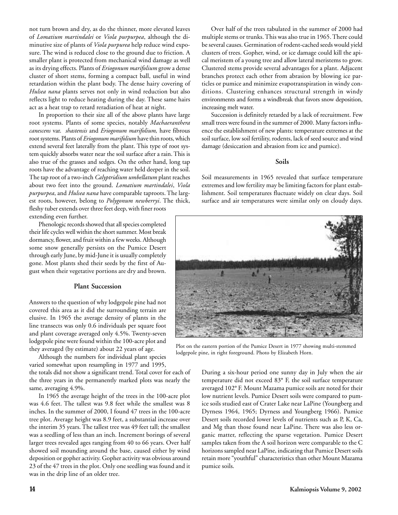not turn brown and dry, as do the thinner, more elevated leaves of *Lomatium martindalei* or *Viola purpurpea*, although the diminutive size of plants of *Viola purpurea* help reduce wind exposure. The wind is reduced close to the ground due to friction. A smaller plant is protected from mechanical wind damage as well as its drying effects. Plants of *Eriogonum marifolium* grow a dense cluster of short stems, forming a compact ball, useful in wind retardation within the plant body. The dense hairy covering of *Hulsea nana* plants serves not only in wind reduction but also reflects light to reduce heating during the day. These same hairs act as a heat trap to retard reradiation of heat at night.

In proportion to their size all of the above plants have large root systems. Plants of some species, notably *Machaeranthera canescens* var. *shastensis* and *Eriogonum marifolium,* have fibrous root systems. Plants of *Eriogonum marifolium* have thin roots, which extend several feet laterally from the plant. This type of root system quickly absorbs water near the soil surface after a rain. This is also true of the grasses and sedges. On the other hand, long tap roots have the advantage of reaching water held deeper in the soil. The tap root of a two-inch *Calyptridium umbellatum* plant reaches about two feet into the ground. *Lomatium martindalei*, *Viola purpurpea*, and *Hulsea nana* have comparable taproots. The largest roots, however, belong to *Polygonum newberryi*. The thick, fleshy tuber extends over three feet deep, with finer roots extending even further.

Phenologic records showed that all species completed their life cycles well within the short summer. Most break dormancy, flower, and fruit within a few weeks. Although some snow generally persists on the Pumice Desert through early June, by mid-June it is usually completely gone. Most plants shed their seeds by the first of August when their vegetative portions are dry and brown.

### **Plant Succession**

Answers to the question of why lodgepole pine had not covered this area as it did the surrounding terrain are elusive. In 1965 the average density of plants in the line transects was only 0.6 individuals per square foot and plant coverage averaged only 4.5%. Twenty-seven lodgepole pine were found within the 100-acre plot and they averaged (by estimate) about 22 years of age.

Although the numbers for individual plant species varied somewhat upon resampling in 1977 and 1995,

the totals did not show a significant trend. Total cover for each of the three years in the permanently marked plots was nearly the same, averaging 4.9%.

In 1965 the average height of the trees in the 100-acre plot was 4.6 feet. The tallest was 9.8 feet while the smallest was 8 inches. In the summer of 2000, I found 47 trees in the 100-acre tree plot. Average height was 8.9 feet, a substantial increase over the interim 35 years. The tallest tree was 49 feet tall; the smallest was a seedling of less than an inch. Increment borings of several larger trees revealed ages ranging from 40 to 66 years. Over half showed soil mounding around the base, caused either by wind deposition or gopher activity. Gopher activity was obvious around 23 of the 47 trees in the plot. Only one seedling was found and it was in the drip line of an older tree.

Over half of the trees tabulated in the summer of 2000 had multiple stems or trunks. This was also true in 1965. There could be several causes. Germination of rodent-cached seeds would yield clusters of trees. Gopher, wind, or ice damage could kill the apical meristem of a young tree and allow lateral meristems to grow. Clustered stems provide several advantages for a plant. Adjacent branches protect each other from abrasion by blowing ice particles or pumice and minimize evapotranspiration in windy conditions. Clustering enhances structural strength in windy environments and forms a windbreak that favors snow deposition, increasing melt water.

Succession is definitely retarded by a lack of recruitment. Few small trees were found in the summer of 2000. Many factors influence the establishment of new plants: temperature extremes at the soil surface, low soil fertility, rodents, lack of seed source and wind damage (desiccation and abrasion from ice and pumice).

### **Soils**

Soil measurements in 1965 revealed that surface temperature extremes and low fertility may be limiting factors for plant establishment. Soil temperatures fluctuate widely on clear days. Soil surface and air temperatures were similar only on cloudy days.



Plot on the eastern portion of the Pumice Desert in 1977 showing multi-stemmed lodgepole pine, in right foreground. Photo by Elizabeth Horn.

During a six-hour period one sunny day in July when the air temperature did not exceed 83° F, the soil surface temperature averaged 102° F. Mount Mazama pumice soils are noted for their low nutrient levels. Pumice Desert soils were compared to pumice soils studied east of Crater Lake near LaPine (Youngberg and Dyrness 1964, 1965; Dyrness and Youngberg 1966). Pumice Desert soils recorded lower levels of nutrients such as P, K, Ca, and Mg than those found near LaPine. There was also less organic matter, reflecting the sparse vegetation. Pumice Desert samples taken from the A soil horizon were comparable to the C horizons sampled near LaPine, indicating that Pumice Desert soils retain more "youthful" characteristics than other Mount Mazama pumice soils.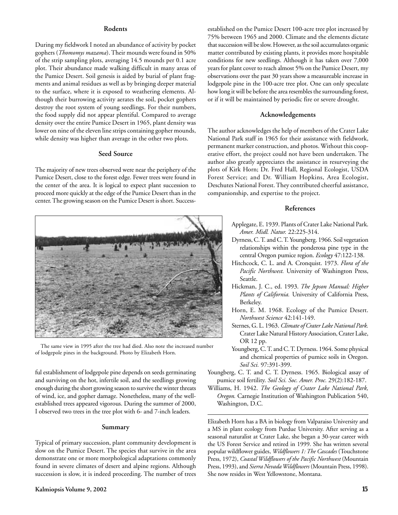### **Rodents**

During my fieldwork I noted an abundance of activity by pocket gophers (*Thomomys mazama*). Their mounds were found in 50% of the strip sampling plots, averaging 14.5 mounds per 0.1 acre plot. Their abundance made walking difficult in many areas of the Pumice Desert. Soil genesis is aided by burial of plant fragments and animal residues as well as by bringing deeper material to the surface, where it is exposed to weathering elements. Although their burrowing activity aerates the soil, pocket gophers destroy the root system of young seedlings. For their numbers, the food supply did not appear plentiful. Compared to average density over the entire Pumice Desert in 1965, plant density was lower on nine of the eleven line strips containing gopher mounds, while density was higher than average in the other two plots.

### **Seed Source**

The majority of new trees observed were near the periphery of the Pumice Desert, close to the forest edge. Fewer trees were found in the center of the area. It is logical to expect plant succession to proceed more quickly at the edge of the Pumice Desert than in the center. The growing season on the Pumice Desert is short. Success-



The same view in 1995 after the tree had died. Also note the increased number of lodgepole pines in the background. Photo by Elizabeth Horn.

ful establishment of lodgepole pine depends on seeds germinating and surviving on the hot, infertile soil, and the seedlings growing enough during the short growing season to survive the winter threats of wind, ice, and gopher damage. Nonetheless, many of the wellestablished trees appeared vigorous. During the summer of 2000, I observed two trees in the tree plot with 6- and 7-inch leaders.

### **Summary**

Typical of primary succession, plant community development is slow on the Pumice Desert. The species that survive in the area demonstrate one or more morphological adaptations commonly found in severe climates of desert and alpine regions. Although succession is slow, it is indeed proceeding. The number of trees established on the Pumice Desert 100-acre tree plot increased by 75% between 1965 and 2000. Climate and the elements dictate that succession will be slow. However, as the soil accumulates organic matter contributed by existing plants, it provides more hospitable conditions for new seedlings. Although it has taken over 7,000 years for plant cover to reach almost 5% on the Pumice Desert, my observations over the past 30 years show a measureable increase in lodgepole pine in the 100-acre tree plot. One can only speculate how long it will be before the area resembles the surrounding forest, or if it will be maintained by periodic fire or severe drought.

### **Acknowledgements**

The author acknowledges the help of members of the Crater Lake National Park staff in 1965 for their assistance with fieldwork, permanent marker construction, and photos. Without this cooperative effort, the project could not have been undertaken. The author also greatly appreciates the assistance in resurveying the plots of Kirk Horn; Dr. Fred Hall, Regional Ecologist, USDA Forest Service; and Dr. William Hopkins, Area Ecologist, Deschutes National Forest. They contributed cheerful assistance, companionship, and expertise to the project.

### **References**

- Applegate, E. 1939. Plants of Crater Lake National Park. *Amer. Midl. Natur.* 22:225-314.
- Dyrness, C. T. and C. T. Youngberg. 1966. Soil vegetation relationships within the ponderosa pine type in the central Oregon pumice region. *Ecology* 47:122-138.
- Hitchcock, C. L. and A. Cronquist. 1973. *Flora of the Pacific Northwest.* University of Washington Press, Seattle.
- Hickman, J. C., ed. 1993. *The Jepson Manual: Higher Plants of California.* University of California Press, Berkeley.
- Horn, E. M. 1968. Ecology of the Pumice Desert. *Northwest Science* 42:141-149.
- Sternes, G. L. 1963. *Climate of Crater Lake National Park.* Crater Lake Natural History Association, Crater Lake, OR 12 pp.
- Youngberg, C. T. and C. T. Dyrness. 1964. Some physical and chemical properties of pumice soils in Oregon. *Soil Sci.* 97:391-399.
- Youngberg, C. T. and C. T. Dyrness. 1965. Biological assay of pumice soil fertility. *Soil Sci. Soc. Amer. Proc.* 29(2):182-187.
- Williams, H. 1942. *The Geology of Crater Lake National Park, Oregon.* Carnegie Institution of Washington Publication 540, Washington, D.C.

Elizabeth Horn has a BA in biology from Valparaiso University and a MS in plant ecology from Purdue University. After serving as a seasonal naturalist at Crater Lake, she began a 30-year career with the US Forest Service and retired in 1999. She has written several popular wildflower guides, *Wildflowers 1:The Cascades* (Touchstone Press, 1972), *Coastal Wildflowers of the Pacific Northwest* (Mountain Press, 1993), and *Sierra Nevada Wildflowers* (Mountain Press, 1998). She now resides in West Yellowstone, Montana.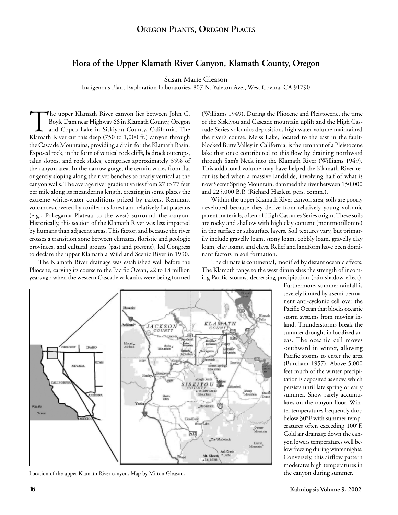# **Flora of the Upper Klamath River Canyon, Klamath County, Oregon**

Susan Marie Gleason

Indigenous Plant Exploration Laboratories, 807 N. Yaleton Ave., West Covina, CA 91790

The upper Klamath River canyon lies between John C.<br>Boyle Dam near Highway 66 in Klamath County, Oregon<br>and Copco Lake in Siskiyou County, California. The<br>Klamath River cut this deep (750 to 1,000 ft.) canyon through Boyle Dam near Highway 66 in Klamath County, Oregon and Copco Lake in Siskiyou County, California. The the Cascade Mountains, providing a drain for the Klamath Basin. Exposed rock, in the form of vertical rock cliffs, bedrock outcrops, talus slopes, and rock slides, comprises approximately 35% of the canyon area. In the narrow gorge, the terrain varies from flat or gently sloping along the river benches to nearly vertical at the canyon walls. The average river gradient varies from 27 to 77 feet per mile along its meandering length, creating in some places the extreme white-water conditions prized by rafters. Remnant volcanoes covered by coniferous forest and relatively flat plateaus (e.g., Pokegama Plateau to the west) surround the canyon. Historically, this section of the Klamath River was less impacted by humans than adjacent areas. This factor, and because the river crosses a transition zone between climates, floristic and geologic provinces, and cultural groups (past and present), led Congress to declare the upper Klamath a Wild and Scenic River in 1990.

The Klamath River drainage was established well before the Pliocene, carving its course to the Pacific Ocean, 22 to 18 million years ago when the western Cascade volcanics were being formed (Williams 1949). During the Pliocene and Pleistocene, the time of the Siskiyou and Cascade mountain uplift and the High Cascade Series volcanics deposition, high water volume maintained the river's course. Meiss Lake, located to the east in the faultblocked Butte Valley in California, is the remnant of a Pleistocene lake that once contributed to this flow by draining northward through Sam's Neck into the Klamath River (Williams 1949). This additional volume may have helped the Klamath River recut its bed when a massive landslide, involving half of what is now Secret Spring Mountain, dammed the river between 150,000 and 225,000 B.P. (Richard Hazlett, pers. comm.).

Within the upper Klamath River canyon area, soils are poorly developed because they derive from relatively young volcanic parent materials, often of High Cascades Series origin. These soils are rocky and shallow with high clay content (montmorillonite) in the surface or subsurface layers. Soil textures vary, but primarily include gravelly loam, stony loam, cobbly loam, gravelly clay loam, clay loams, and clays. Relief and landform have been dominant factors in soil formation.

The climate is continental, modified by distant oceanic effects. The Klamath range to the west diminishes the strength of incoming Pacific storms, decreasing precipitation (rain shadow effect).



Location of the upper Klamath River canyon. Map by Milton Gleason.

Furthermore, summer rainfall is severely limited by a semi-permanent anti-cyclonic cell over the Pacific Ocean that blocks oceanic storm systems from moving inland. Thunderstorms break the summer drought in localized areas. The oceanic cell moves southward in winter, allowing Pacific storms to enter the area (Burcham 1957). Above 5,000 feet much of the winter precipitation is deposited as snow, which persists until late spring or early summer. Snow rarely accumulates on the canyon floor. Winter temperatures frequently drop below 30°F with summer temperatures often exceeding 100°F. Cold air drainage down the canyon lowers temperatures well below freezing during winter nights. Conversely, this airflow pattern moderates high temperatures in the canyon during summer.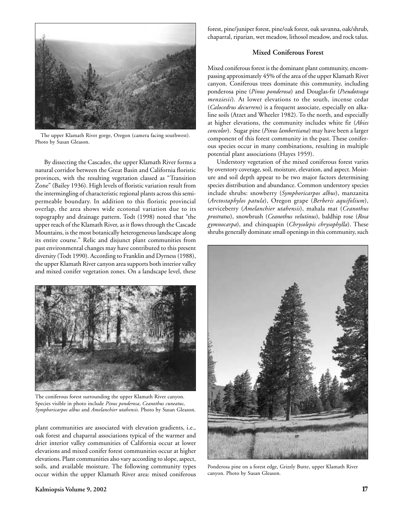

The upper Klamath River gorge, Oregon (camera facing southwest). Photo by Susan Gleason.

By dissecting the Cascades, the upper Klamath River forms a natural corridor between the Great Basin and California floristic provinces, with the resulting vegetation classed as "Transition Zone" (Bailey 1936). High levels of floristic variation result from the intermingling of characteristic regional plants across this semipermeable boundary. In addition to this floristic provincial overlap, the area shows wide ecotonal variation due to its topography and drainage pattern. Todt (1998) noted that "the upper reach of the Klamath River, as it flows through the Cascade Mountains, is the most botanically heterogeneous landscape along its entire course." Relic and disjunct plant communities from past environmental changes may have contributed to this present diversity (Todt 1990). According to Franklin and Dyrness (1988), the upper Klamath River canyon area supports both interior valley and mixed conifer vegetation zones. On a landscape level, these



The coniferous forest surrounding the upper Klamath River canyon. Species visible in photo include *Pinus ponderosa*, *Ceanothus cuneatus*, *Symphoricarpos albus* and *Amelanchier utahensis*. Photo by Susan Gleason.

plant communities are associated with elevation gradients, i.e., oak forest and chaparral associations typical of the warmer and drier interior valley communities of California occur at lower elevations and mixed conifer forest communities occur at higher elevations. Plant communities also vary according to slope, aspect, soils, and available moisture. The following community types occur within the upper Klamath River area: mixed coniferous forest, pine/juniper forest, pine/oak forest, oak savanna, oak/shrub, chaparral, riparian, wet meadow, lithosol meadow, and rock talus.

### **Mixed Coniferous Forest**

Mixed coniferous forest is the dominant plant community, encompassing approximately 45% of the area of the upper Klamath River canyon. Coniferous trees dominate this community, including ponderosa pine (*Pinus ponderosa*) and Douglas-fir (*Pseudotsuga menziesii*). At lower elevations to the south, incense cedar (*Calocedrus decurrens*) is a frequent associate, especially on alkaline soils (Atzet and Wheeler 1982). To the north, and especially at higher elevations, the community includes white fir (*Abies concolor*). Sugar pine (*Pinus lambertiana*) may have been a larger component of this forest community in the past. These coniferous species occur in many combinations, resulting in multiple potential plant associations (Hayes 1959).

Understory vegetation of the mixed coniferous forest varies by overstory coverage, soil, moisture, elevation, and aspect. Moisture and soil depth appear to be two major factors determining species distribution and abundance. Common understory species include shrubs: snowberry (*Symphoricarpos albus*), manzanita (*Arctostaphylos patula*), Oregon grape (*Berberis aquifolium*), serviceberry (*Amelanchier utahensis*), mahala mat (*Ceanothus prostratus*), snowbrush (*Ceanothus velutinus*), baldhip rose (*Rosa gymnocarpa*), and chinquapin (*Chrysolepis chrysophylla*). These shrubs generally dominate small openings in this community, such



Ponderosa pine on a forest edge, Grizzly Butte, upper Klamath River canyon. Photo by Susan Gleason.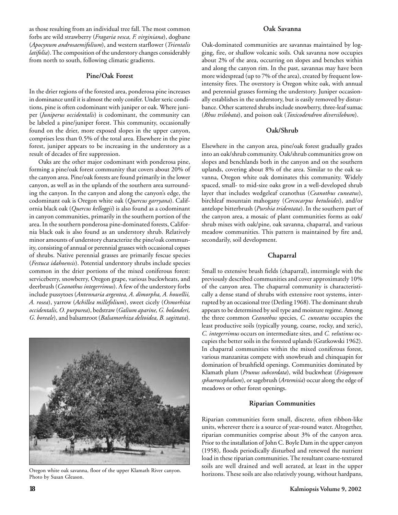as those resulting from an individual tree fall. The most common forbs are wild strawberry (*Fragaria vesca, F. virginiana*), dogbane (*Apocynum androsaemifolium*), and western starflower (*Trientalis latifolia*). The composition of the understory changes considerably from north to south, following climatic gradients.

### **Pine/Oak Forest**

In the drier regions of the forested area, ponderosa pine increases in dominance until it is almost the only conifer. Under xeric conditions, pine is often codominant with juniper or oak. Where juniper (*Juniperus occidentalis*) is codominant, the community can be labeled a pine/juniper forest. This community, occasionally found on the drier, more exposed slopes in the upper canyon, comprises less than 0.5% of the total area. Elsewhere in the pine forest, juniper appears to be increasing in the understory as a result of decades of fire suppression.

Oaks are the other major codominant with ponderosa pine, forming a pine/oak forest community that covers about 20% of the canyon area. Pine/oak forests are found primarily in the lower canyon, as well as in the uplands of the southern area surrounding the canyon. In the canyon and along the canyon's edge, the codominant oak is Oregon white oak (*Quercus garryana*). California black oak (*Quercus kelloggii*) is also found as a codominant in canyon communities, primarily in the southern portion of the area. In the southern ponderosa pine-dominated forests, California black oak is also found as an understory shrub. Relatively minor amounts of understory characterize the pine/oak community, consisting of annual or perennial grasses with occasional copses of shrubs. Native perennial grasses are primarily fescue species (*Festuca idahoensis*). Potential understory shrubs include species common in the drier portions of the mixed coniferous forest: serviceberry, snowberry, Oregon grape, various buckwheats, and deerbrush (*Ceanothus integerrimus*). A few of the understory forbs include pussytoes (*Antennaria argentea, A. dimorpha, A. howellii, A. rosea*), yarrow (*Achillea millefolium*), sweet cicely (*Osmorhiza occidentalis, O. purpurea*), bedstraw (*Galium aparine, G. bolanderi, G. boreale*), and balsamroot (*Balsamorhiza deltoidea, B. sagittata*).



Oregon white oak savanna, floor of the upper Klamath River canyon. Photo by Susan Gleason.

### **Oak Savanna**

Oak-dominated communities are savannas maintained by logging, fire, or shallow volcanic soils. Oak savanna now occupies about 2% of the area, occurring on slopes and benches within and along the canyon rim. In the past, savannas may have been more widespread (up to 7% of the area), created by frequent lowintensity fires. The overstory is Oregon white oak, with annual and perennial grasses forming the understory. Juniper occasionally establishes in the understory, but is easily removed by disturbance. Other scattered shrubs include snowberry, three-leaf sumac (*Rhus trilobata*), and poison oak (*Toxicodendron diversilobum*).

### **Oak/Shrub**

Elsewhere in the canyon area, pine/oak forest gradually grades into an oak/shrub community. Oak/shrub communities grow on slopes and benchlands both in the canyon and on the southern uplands, covering about 8% of the area. Similar to the oak savanna, Oregon white oak dominates this community. Widely spaced, small- to mid-size oaks grow in a well-developed shrub layer that includes wedgeleaf ceanothus (*Ceanothus cuneatus*), birchleaf mountain mahogany (*Cercocarpus betuloides*), and/or antelope bitterbrush (*Purshia tridentata*). In the southern part of the canyon area, a mosaic of plant communities forms as oak/ shrub mixes with oak/pine, oak savanna, chaparral, and various meadow communities. This pattern is maintained by fire and, secondarily, soil development.

### **Chaparral**

Small to extensive brush fields (chaparral), intermingle with the previously described communities and cover approximately 10% of the canyon area. The chaparral community is characteristically a dense stand of shrubs with extensive root systems, interrupted by an occasional tree (Detling 1968). The dominant shrub appears to be determined by soil type and moisture regime. Among the three common *Ceanothus* species, *C. cuneatus* occupies the least productive soils (typically young, coarse, rocky, and xeric), *C. integerrimus* occurs on intermediate sites, and *C. velutinus* occupies the better soils in the forested uplands (Gratkowski 1962). In chaparral communities within the mixed coniferous forest, various manzanitas compete with snowbrush and chinquapin for domination of brushfield openings. Communities dominated by Klamath plum (*Prunus subcordata*), wild buckwheat (*Eriogonum sphaerocephalum*), or sagebrush (*Artemisia*) occur along the edge of meadows or other forest openings.

### **Riparian Communities**

Riparian communities form small, discrete, often ribbon-like units, wherever there is a source of year-round water. Altogether, riparian communities comprise about 3% of the canyon area. Prior to the installation of John C. Boyle Dam in the upper canyon (1958), floods periodically disturbed and renewed the nutrient load in these riparian communities. The resultant coarse-textured soils are well drained and well aerated, at least in the upper horizons. These soils are also relatively young, without hardpans,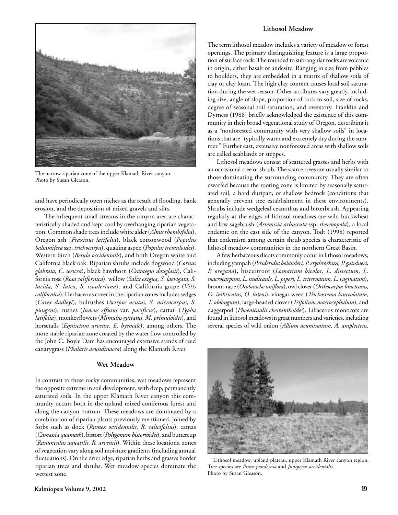

The narrow riparian zone of the upper Klamath River canyon. Photo by Susan Gleason.

and have periodically open niches as the result of flooding, bank erosion, and the deposition of mixed gravels and silts.

The infrequent small streams in the canyon area are characteristically shaded and kept cool by overhanging riparian vegetation. Common shade trees include white alder (*Alnus rhombifolia*), Oregon ash (*Fraxinus latifolia*), black cottonwood (*Populus balsamifera* ssp. *trichocarpa*), quaking aspen (*Populus tremuloides*), Western birch (*Betula occidentalis*), and both Oregon white and California black oak. Riparian shrubs include dogwood (*Cornus glabrata, C. sericea*), black hawthorn (*Crataegus douglasii*), California rose (*Rosa californica*), willow (*Salix exigua, S. laevigata, S. lucida, S. lutea, S. scouleriana*), and California grape (*Vitis californica*). Herbaceous cover in the riparian zones includes sedges (*Carex dudleyi*), bulrushes (*Scirpus acutus, S. microcarpus, S. pungens*), rushes (*Juncus effusus* var*. pacificus*), cattail (*Typha latifolia*), monkeyflowers (*Mimulus guttatus, M. primuloides*), and horsetails (*Equisetum arvense, E. hyemale*), among others. The more stable riparian zone created by the water flow controlled by the John C. Boyle Dam has encouraged extensive stands of reed canarygrass (*Phalaris arundinacea*) along the Klamath River.

### **Wet Meadow**

In contrast to these rocky communities, wet meadows represent the opposite extreme in soil development, with deep, permanently saturated soils. In the upper Klamath River canyon this community occurs both in the upland mixed coniferous forest and along the canyon bottom. These meadows are dominated by a combination of riparian plants previously mentioned, joined by forbs such as dock (*Rumex occidentalis, R. salicifolius*), camas (*Camassia quamash*), bistort (*Polygonum bistortoides*), and buttercup (*Ranunculus aquatilis, R. arvensis*). Within these locations, zones of vegetation vary along soil moisture gradients (including annual fluctuations). On the drier edge, riparian herbs and grasses border riparian trees and shrubs. Wet meadow species dominate the wettest zone.

The term lithosol meadow includes a variety of meadow or forest openings. The primary distinguishing feature is a large proportion of surface rock. The rounded to sub-angular rocks are volcanic in origin, either basalt or andesite. Ranging in size from pebbles to boulders, they are embedded in a matrix of shallow soils of clay or clay loam. The high clay content causes local soil saturation during the wet season. Other attributes vary greatly, including size, angle of slope, proportion of rock to soil, size of rocks, degree of seasonal soil saturation, and overstory. Franklin and Dyrness (1988) briefly acknowledged the existence of this community in their broad vegetational study of Oregon, describing it as a "nonforested community with very shallow soils" in locations that are "typically warm and extremely dry during the summer." Further east, extensive nonforested areas with shallow soils are called scablands or steppes.

Lithosol meadows consist of scattered grasses and herbs with an occasional tree or shrub. The scarce trees are usually similar to those dominating the surrounding community. They are often dwarfed because the rooting zone is limited by seasonally saturated soil, a hard duripan, or shallow bedrock (conditions that generally prevent tree establishment in these environments). Shrubs include wedgeleaf ceanothus and bitterbrush. Appearing regularly at the edges of lithosol meadows are wild buckwheat and low sagebrush (*Artemisia arbuscula* ssp. *thermopola*), a local endemic on the east side of the canyon. Todt (1998) reported that endemism among certain shrub species is characteristic of lithosol meadow communities in the northern Great Basin.

A few herbaceous dicots commonly occur in lithosol meadows, including yampah (*Perideridia bolanderi, P. erythrorhiza, P. gairdneri, P. oregana*), biscuitroot (*Lomatium bicolor, L. dissectum, L. macrocarpum, L. nudicaule, L. piperi, L. triternatum, L. vaginatum*), broom-rape (*Orobanche uniflora*), owl clover (*Orthocarpus bracteosus, O. imbricatus, O. luteus*), vinegar weed (*Trichostema lanceolatum, T. oblongum*), large-headed clover (*Trifolium macrocephalum*), and daggerpod (*Phoenicaulis cheiranthoides*). Liliaceous monocots are found in lithosol meadows in great numbers and varieties, including several species of wild onion (*Allium acuminatum, A. amplectens,*



Lithosol meadow, upland plateau, upper Klamath River canyon region. Tree species are *Pinus ponderosa* and *Juniperus occidentalis*. Photo by Susan Gleason.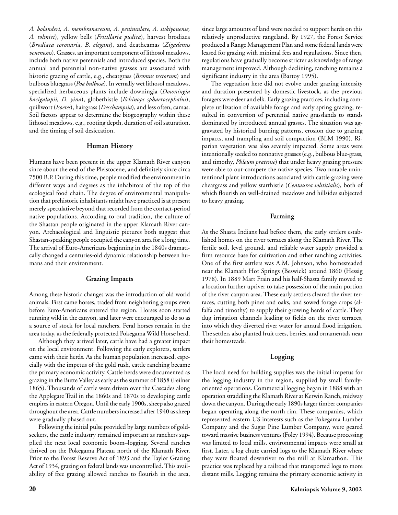*A. bolanderi, A. membranaceum, A. peninsulare, A. siskiyouense, A. tolmiei*), yellow bells (*Fritillaria pudica*), harvest brodiaea (*Brodiaea coronaria, B. elegans*), and deathcamas (*Zigadenus venenosus*). Grasses, an important component of lithosol meadows, include both native perennials and introduced species. Both the annual and perennial non-native grasses are associated with historic grazing of cattle, e.g., cheatgrass (*Bromus tectorum*) and bulbous bluegrass (*Poa bulbosa*). In vernally wet lithosol meadows, specialized herbaceous plants include downingia (*Downingia bacigalupii, D. yina*), globethistle (*Echinops sphaerocephalus*), quillwort (*Isoetes*), hairgrass (*Deschampsia*), and less often, camas. Soil factors appear to determine the biogeography within these lithosol meadows, e.g., rooting depth, duration of soil saturation, and the timing of soil desiccation.

### **Human History**

Humans have been present in the upper Klamath River canyon since about the end of the Pleistocene, and definitely since circa 7500 B.P. During this time, people modified the environment in different ways and degrees as the inhabitors of the top of the ecological food chain. The degree of environmental manipulation that prehistoric inhabitants might have practiced is at present merely speculative beyond that recorded from the contact-period native populations. According to oral tradition, the culture of the Shastan people originated in the upper Klamath River canyon. Archaeological and linguistic pictures both suggest that Shastan-speaking people occupied the canyon area for a long time. The arrival of Euro-Americans beginning in the 1840s dramatically changed a centuries-old dynamic relationship between humans and their environment.

### **Grazing Impacts**

Among these historic changes was the introduction of old world animals. First came horses, traded from neighboring groups even before Euro-Americans entered the region. Horses soon started running wild in the canyon, and later were encouraged to do so as a source of stock for local ranchers. Feral horses remain in the area today, as the federally protected Pokegama Wild Horse herd.

Although they arrived later, cattle have had a greater impact on the local environment. Following the early explorers, settlers came with their herds. As the human population increased, especially with the impetus of the gold rush, cattle ranching became the primary economic activity. Cattle herds were documented as grazing in the Butte Valley as early as the summer of 1858 (Feilner 1865). Thousands of cattle were driven over the Cascades along the Applegate Trail in the 1860s and 1870s to developing cattle empires in eastern Oregon. Until the early 1900s, sheep also grazed throughout the area. Cattle numbers increased after 1940 as sheep were gradually phased out.

Following the initial pulse provided by large numbers of goldseekers, the cattle industry remained important as ranchers supplied the next local economic boom–logging. Several ranches thrived on the Pokegama Plateau north of the Klamath River. Prior to the Forest Reserve Act of 1893 and the Taylor Grazing Act of 1934, grazing on federal lands was uncontrolled. This availability of free grazing allowed ranches to flourish in the area,

since large amounts of land were needed to support herds on this relatively unproductive rangeland. By 1927, the Forest Service produced a Range Management Plan and some federal lands were leased for grazing with minimal fees and regulations. Since then, regulations have gradually become stricter as knowledge of range management improved. Although declining, ranching remains a significant industry in the area (Bartoy 1995).

The vegetation here did not evolve under grazing intensity and duration presented by domestic livestock, as the previous foragers were deer and elk. Early grazing practices, including complete utilization of available forage and early spring grazing, resulted in conversion of perennial native grasslands to stands dominated by introduced annual grasses. The situation was aggravated by historical burning patterns, erosion due to grazing impacts, and trampling and soil compaction (BLM 1990). Riparian vegetation was also severely impacted. Some areas were intentionally seeded to nonnative grasses (e.g., bulbous blue-grass, and timothy, *Phleum pratense*) that under heavy grazing pressure were able to out-compete the native species. Two notable unintentional plant introductions associated with cattle grazing were cheatgrass and yellow starthistle (*Centaurea solstitialis*), both of which flourish on well-drained meadows and hillsides subjected to heavy grazing.

### **Farming**

As the Shasta Indians had before them, the early settlers established homes on the river terraces along the Klamath River. The fertile soil, level ground, and reliable water supply provided a firm resource base for cultivation and other ranching activities. One of the first settlers was A.M. Johnson, who homesteaded near the Klamath Hot Springs (Beswick) around 1860 (Hessig 1978). In 1889 Mart Frain and his half-Shasta family moved to a location further upriver to take possession of the main portion of the river canyon area. These early settlers cleared the river terraces, cutting both pines and oaks, and sowed forage crops (alfalfa and timothy) to supply their growing herds of cattle. They dug irrigation channels leading to fields on the river terraces, into which they diverted river water for annual flood irrigation. The settlers also planted fruit trees, berries, and ornamentals near their homesteads.

### **Logging**

The local need for building supplies was the initial impetus for the logging industry in the region, supplied by small familyoriented operations. Commercial logging began in 1888 with an operation straddling the Klamath River at Kerwin Ranch, midway down the canyon. During the early 1890s larger timber companies began operating along the north rim. These companies, which represented eastern US interests such as the Pokegama Lumber Company and the Sugar Pine Lumber Company, were geared toward massive business ventures (Foley 1994). Because processing was limited to local mills, environmental impacts were small at first. Later, a log chute carried logs to the Klamath River where they were floated downriver to the mill at Klamathon. This practice was replaced by a railroad that transported logs to more distant mills. Logging remains the primary economic activity in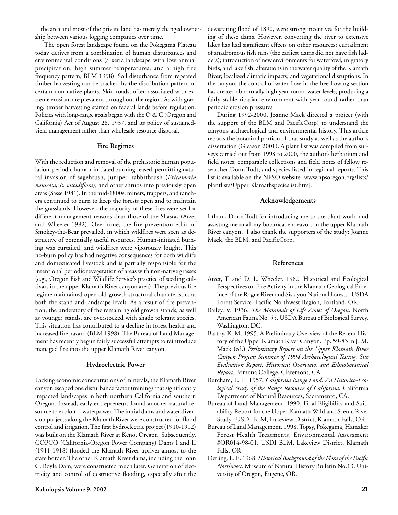the area and most of the private land has merely changed ownership between various logging companies over time.

The open forest landscape found on the Pokegama Plateau today derives from a combination of human disturbances and environmental conditions (a xeric landscape with low annual precipitation, high summer temperatures, and a high fire frequency pattern; BLM 1998). Soil disturbance from repeated timber harvesting can be tracked by the distribution pattern of certain non-native plants. Skid roads, often associated with extreme erosion, are prevalent throughout the region. As with grazing, timber harvesting started on federal lands before regulation. Policies with long-range goals began with the O & C (Oregon and California) Act of August 28, 1937, and its policy of sustainedyield management rather than wholesale resource disposal.

### **Fire Regimes**

With the reduction and removal of the prehistoric human population, periodic human-initiated burning ceased, permitting natural invasion of sagebrush, juniper, rabbitbrush (*Ericameria nauseosa, E. viscidiflora*), and other shrubs into previously open areas (Sasse 1981). In the mid-1800s, miners, trappers, and ranchers continued to burn to keep the forests open and to maintain the grasslands. However, the majority of these fires were set for different management reasons than those of the Shastas (Atzet and Wheeler 1982). Over time, the fire prevention ethic of Smokey-the-Bear prevailed, in which wildfires were seen as destructive of potentially useful resources. Human-initiated burning was curtailed, and wildfires were vigorously fought. This no-burn policy has had negative consequences for both wildlife and domesticated livestock and is partially responsible for the intentional periodic revegetation of areas with non-native grasses (e.g., Oregon Fish and Wildlife Service's practice of seeding cultivars in the upper Klamath River canyon area). The previous fire regime maintained open old-growth structural characteristics at both the stand and landscape levels. As a result of fire prevention, the understory of the remaining old growth stands, as well as younger stands, are overstocked with shade tolerant species. This situation has contributed to a decline in forest health and increased fire hazard (BLM 1998). The Bureau of Land Management has recently begun fairly successful attempts to reintroduce managed fire into the upper Klamath River canyon.

### **Hydroelectric Power**

Lacking economic concentrations of minerals, the Klamath River canyon escaped one disturbance factor (mining) that significantly impacted landscapes in both northern California and southern Oregon. Instead, early entrepreneurs found another natural resource to exploit—waterpower.The initial dams and water diversion projects along the Klamath River were constructed for flood control and irrigation. The first hydroelectric project (1910-1912) was built on the Klamath River at Keno, Oregon. Subsequently, COPCO (California-Oregon Power Company) Dams I and II (1911-1918) flooded the Klamath River upriver almost to the state border. The other Klamath River dams, including the John C. Boyle Dam, were constructed much later. Generation of electricity and control of destructive flooding, especially after the devastating flood of 1890, were strong incentives for the building of these dams. However, converting the river to extensive lakes has had significant effects on other resources: curtailment of anadromous fish runs (the earliest dams did not have fish ladders); introduction of new environments for waterfowl, migratory birds, and lake fish; alterations in the water quality of the Klamath River; localized climatic impacts; and vegetational disruptions. In the canyon, the control of water flow in the free-flowing section has created abnormally high year-round water levels, producing a fairly stable riparian environment with year-round rather than periodic erosion pressures.

During 1992-2000, Joanne Mack directed a project (with the support of the BLM and PacificCorp) to understand the canyon's archaeological and environmental history. This article reports the botanical portion of that study as well as the author's dissertation (Gleason 2001). A plant list was compiled from surveys carried out from 1998 to 2000, the author's herbarium and field notes, comparable collections and field notes of fellow researcher Donn Todt, and species listed in regional reports. This list is available on the NPSO website [www.npsoregon.org/lists/ plantlists/Upper Klamathspecieslist.htm].

### **Acknowledgements**

I thank Donn Todt for introducing me to the plant world and assisting me in all my botanical endeavors in the upper Klamath River canyon. I also thank the supporters of the study: Joanne Mack, the BLM, and PacificCorp.

### **References**

- Atzet, T. and D. L. Wheeler. 1982. Historical and Ecological Perspectives on Fire Activity in the Klamath Geological Province of the Rogue River and Siskiyou National Forests. USDA Forest Service, Pacific Northwest Region, Portland, OR.
- Bailey, V. 1936. *The Mammals of Life Zones of Oregon*. North American Fauna No. 55. USDA Bureau of Biological Survey, Washington, DC.
- Bartoy, K. M. 1995. A Preliminary Overview of the Recent History of the Upper Klamath River Canyon. Pp. 59-83 in J. M. Mack (ed.) *Preliminary Report on the Upper Klamath River Canyon Project: Summer of 1994 Archaeological Testing, Site Evaluation Report, Historical Overview, and Ethnobotanical Report*. Pomona College, Claremont, CA.
- Burcham, L. T. 1957. *California Range Land: An Historico-Ecological Study of the Range Resource of California*. California Department of Natural Resources, Sacramento, CA.
- Bureau of Land Management. 1990. Final Eligibility and Suitability Report for the Upper Klamath Wild and Scenic River Study. USDI BLM, Lakeview District, Klamath Falls, OR.
- Bureau of Land Management. 1998. Topsy, Pokegama, Hamaker Forest Health Treatments, Environmental Assessment #OR014-98-01. USDI BLM, Lakeview District, Klamath Falls, OR.
- Detling, L. E. 1968. *Historical Background of the Flora of the Pacific Northwest.* Museum of Natural History Bulletin No.13. University of Oregon, Eugene, OR.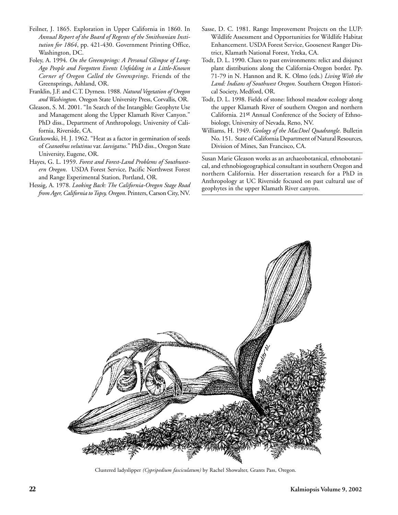- Feilner, J. 1865. Exploration in Upper California in 1860. In *Annual Report of the Board of Regents of the Smithsonian Institution for 1864*, pp. 421-430. Government Printing Office, Washington, DC.
- Foley, A. 1994. *On the Greensprings: A Personal Glimpse of Long-Ago People and Forgotten Events Unfolding in a Little-Known Corner of Oregon Called the Greensprings*. Friends of the Greensprings, Ashland, OR.
- Franklin, J.F. and C.T. Dyrness. 1988. *Natural Vegetation of Oregon and Washington*. Oregon State University Press, Corvallis, OR.
- Gleason, S. M. 2001. "In Search of the Intangible: Geophyte Use and Management along the Upper Klamath River Canyon." PhD diss., Department of Anthropology, University of California, Riverside, CA.
- Gratkowski, H. J. 1962. "Heat as a factor in germination of seeds of *Ceanothus velutinus* var. *laevigatus*." PhD diss., Oregon State University, Eugene, OR.
- Hayes, G. L. 1959. *Forest and Forest-Land Problems of Southwestern Oregon*. USDA Forest Service, Pacific Northwest Forest and Range Experimental Station, Portland, OR.
- Hessig, A. 1978. *Looking Back: The California-Oregon Stage Road from Ager, California to Topsy, Oregon*. Printers, Carson City, NV.
- Sasse, D. C. 1981. Range Improvement Projects on the LUP: Wildlife Assessment and Opportunities for Wildlife Habitat Enhancement. USDA Forest Service, Goosenest Ranger District, Klamath National Forest, Yreka, CA.
- Todt, D. L. 1990. Clues to past environments: relict and disjunct plant distributions along the California-Oregon border. Pp. 71-79 in N. Hannon and R. K. Olmo (eds.) *Living With the Land: Indians of Southwest Oregon*. Southern Oregon Historical Society, Medford, OR.
- Todt, D. L. 1998. Fields of stone: lithosol meadow ecology along the upper Klamath River of southern Oregon and northern California. 21st Annual Conference of the Society of Ethnobiology, University of Nevada, Reno, NV.
- Williams, H. 1949. *Geology of the MacDoel Quadrangle*. Bulletin No. 151. State of California Department of Natural Resources, Division of Mines, San Francisco, CA.

Susan Marie Gleason works as an archaeobotanical, ethnobotanical, and ethnobiogeographical consultant in southern Oregon and northern California. Her dissertation research for a PhD in Anthropology at UC Riverside focused on past cultural use of geophytes in the upper Klamath River canyon.



Clustered ladyslipper *(Cypripedium fasciculatum)* by Rachel Showalter, Grants Pass, Oregon.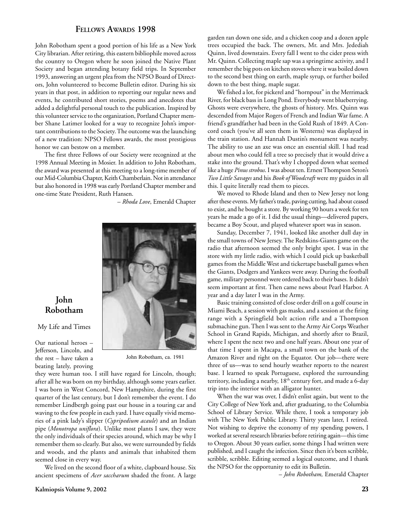# **FELLOWS AWARDS 1998**

John Robotham spent a good portion of his life as a New York City librarian. After retiring, this eastern bibliophile moved across the country to Oregon where he soon joined the Native Plant Society and began attending botany field trips. In September 1993, answering an urgent plea from the NPSO Board of Directors, John volunteered to become Bulletin editor. During his six years in that post, in addition to reporting our regular news and events, he contributed short stories, poems and anecdotes that added a delightful personal touch to the publication. Inspired by this volunteer service to the organization, Portland Chapter member Shane Latimer looked for a way to recognize John's important contributions to the Society.The outcome was the launching of a new tradition: NPSO Fellows awards, the most prestigious honor we can bestow on a member.

The first three Fellows of our Society were recognized at the 1998 Annual Meeting in Mosier. In addition to John Robotham, the award was presented at this meeting to a long-time member of our Mid-Columbia Chapter, Keith Chamberlain. Not in attendance but also honored in 1998 was early Portland Chapter member and one-time State President, Ruth Hansen.

– *Rhoda Love*, Emerald Chapter



# **John Robotham**

My Life and Times

Our national heroes – Jefferson, Lincoln, and the rest – have taken a beating lately, proving

John Robotham, ca. 1981

they were human too. I still have regard for Lincoln, though; after all he was born on my birthday, although some years earlier. I was born in West Concord, New Hampshire, during the first quarter of the last century, but I don't remember the event. I do remember Lindbergh going past our house in a touring car and waving to the few people in each yard. I have equally vivid memories of a pink lady's slipper (*Cypripedium acaule*) and an Indian pipe (*Monotropa uniflora*). Unlike most plants I saw, they were the only individuals of their species around, which may be why I remember them so clearly. But also, we were surrounded by fields and woods, and the plants and animals that inhabited them seemed close in every way.

We lived on the second floor of a white, clapboard house. Six ancient specimens of *Acer saccharum* shaded the front. A large garden ran down one side, and a chicken coop and a dozen apple trees occupied the back. The owners, Mr. and Mrs. Jedediah Quinn, lived downstairs. Every fall I went to the cider press with Mr. Quinn. Collecting maple sap was a springtime activity, and I remember the big pots on kitchen stoves where it was boiled down to the second best thing on earth, maple syrup, or further boiled down to the best thing, maple sugar.

We fished a lot, for pickerel and "hornpout" in the Merrimack River, for black bass in Long Pond. Everybody went blueberrying. Ghosts were everywhere, the ghosts of history. Mrs. Quinn was descended from Major Rogers of French and Indian War fame. A friend's grandfather had been in the Gold Rush of 1849. A Concord coach (you've all seen them in Westerns) was displayed in the train station. And Hannah Dustin's monument was nearby. The ability to use an axe was once an essential skill. I had read about men who could fell a tree so precisely that it would drive a stake into the ground. That's why I chopped down what seemed like a huge *Pinus strobus*. I was about ten. Ernest Thompson Seton's *Two Little Savages* and his *Book of Woodcraft* were my guides in all this. I quite literally read them to pieces.

We moved to Rhode Island and then to New Jersey not long after these events. My father's trade, paving cutting, had about ceased to exist, and he bought a store. By working 90 hours a week for ten years he made a go of it. I did the usual things—delivered papers, became a Boy Scout, and played whatever sport was in season.

Sunday, December 7, 1941, looked like another dull day in the small towns of New Jersey. The Redskins-Giants game on the radio that afternoon seemed the only bright spot. I was in the store with my little radio, with which I could pick up basketball games from the Middle West and tickertape baseball games when the Giants, Dodgers and Yankees were away. During the football game, military personnel were ordered back to their bases. It didn't seem important at first. Then came news about Pearl Harbor. A year and a day later I was in the Army.

Basic training consisted of close order drill on a golf course in Miami Beach, a session with gas masks, and a session at the firing range with a Springfield bolt action rifle and a Thompson submachine gun. Then I was sent to the Army Air Corps Weather School in Grand Rapids, Michigan, and shortly after to Brazil, where I spent the next two and one half years. About one year of that time I spent in Macapa, a small town on the bank of the Amazon River and right on the Equator. Our job—there were three of us—was to send hourly weather reports to the nearest base. I learned to speak Portuguese, explored the surrounding territory, including a nearby, 18<sup>th</sup> century fort, and made a 6-day trip into the interior with an alligator hunter.

When the war was over, I didn't enlist again, but went to the City College of New York and, after graduating, to the Columbia School of Library Service. While there, I took a temporary job with The New York Public Library. Thirty years later, I retired. Not wishing to deprive the economy of my spending powers, I worked at several research libraries before retiring again—this time to Oregon. About 30 years earlier, some things I had written were published, and I caught the infection. Since then it's been scribble, scribble, scribble. Editing seemed a logical outcome, and I thank the NPSO for the opportunity to edit its Bulletin.

– *John Robotham,* Emerald Chapter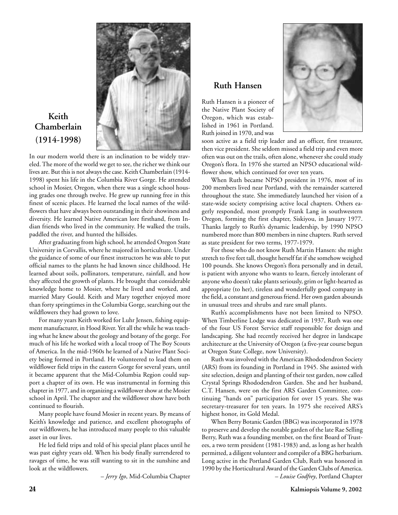

# **Keith Chamberlain (1914-1998)**

In our modern world there is an inclination to be widely traveled. The more of the world we get to see, the richer we think our lives are. But this is not always the case. Keith Chamberlain (1914- 1998) spent his life in the Columbia River Gorge. He attended school in Mosier, Oregon, when there was a single school housing grades one through twelve. He grew up running free in this finest of scenic places. He learned the local names of the wildflowers that have always been outstanding in their showiness and diversity. He learned Native American lore firsthand, from Indian friends who lived in the community. He walked the trails, paddled the river, and hunted the hillsides.

After graduating from high school, he attended Oregon State University in Corvallis, where he majored in horticulture. Under the guidance of some of our finest instructors he was able to put official names to the plants he had known since childhood. He learned about soils, pollinators, temperature, rainfall, and how they affected the growth of plants. He brought that considerable knowledge home to Mosier, where he lived and worked, and married Mary Gould. Keith and Mary together enjoyed more than forty springtimes in the Columbia Gorge, searching out the wildflowers they had grown to love.

For many years Keith worked for Luhr Jensen, fishing equipment manufacturer, in Hood River. Yet all the while he was teaching what he knew about the geology and botany of the gorge. For much of his life he worked with a local troop of The Boy Scouts of America. In the mid-1960s he learned of a Native Plant Society being formed in Portland. He volunteered to lead them on wildflower field trips in the eastern Gorge for several years, until it became apparent that the Mid-Columbia Region could support a chapter of its own. He was instrumental in forming this chapter in 1977, and in organizing a wildflower show at the Mosier school in April. The chapter and the wildflower show have both continued to flourish.

Many people have found Mosier in recent years. By means of Keith's knowledge and patience, and excellent photographs of our wildflowers, he has introduced many people to this valuable asset in our lives.

He led field trips and told of his special plant places until he was past eighty years old. When his body finally surrendered to ravages of time, he was still wanting to sit in the sunshine and look at the wildflowers.

– *Jerry Igo*, Mid-Columbia Chapter

# **Ruth Hansen**

Ruth Hansen is a pioneer of the Native Plant Society of Oregon, which was established in 1961 in Portland. Ruth joined in 1970, and was



soon active as a field trip leader and an officer, first treasurer, then vice president. She seldom missed a field trip and even more often was out on the trails, often alone, whenever she could study Oregon's flora. In 1976 she started an NPSO educational wildflower show, which continued for over ten years.

When Ruth became NPSO president in 1976, most of its 200 members lived near Portland, with the remainder scattered throughout the state. She immediately launched her vision of a state-wide society comprising active local chapters. Others eagerly responded, most promptly Frank Lang in southwestern Oregon, forming the first chapter, Siskiyou, in January 1977. Thanks largely to Ruth's dynamic leadership, by 1990 NPSO numbered more than 800 members in nine chapters. Ruth served as state president for two terms, 1977-1979.

For those who do not know Ruth Martin Hansen: she might stretch to five feet tall, thought herself fat if she somehow weighed 100 pounds. She knows Oregon's flora personally and in detail, is patient with anyone who wants to learn, fiercely intolerant of anyone who doesn't take plants seriously, grim or light-hearted as appropriate (to her), tireless and wonderfully good company in the field, a constant and generous friend. Her own garden abounds in unusual trees and shrubs and rare small plants.

Ruth's accomplishments have not been limited to NPSO. When Timberline Lodge was dedicated in 1937, Ruth was one of the four US Forest Service staff responsible for design and landscaping. She had recently received her degree in landscape architecture at the University of Oregon (a five-year course begun at Oregon State College, now University).

Ruth was involved with the American Rhododendron Society (ARS) from its founding in Portland in 1945. She assisted with site selection, design and planting of their test garden, now called Crystal Springs Rhododendron Garden. She and her husband, C.T. Hansen, were on the first ARS Garden Committee, continuing "hands on" participation for over 15 years. She was secretary-treasurer for ten years. In 1975 she received ARS's highest honor, its Gold Medal.

When Berry Botanic Garden (BBG) was incorporated in 1978 to preserve and develop the notable garden of the late Rae Selling Berry, Ruth was a founding member, on the first Board of Trustees, a two term president (1981-1983) and, as long as her health permitted, a diligent volunteer and compiler of a BBG herbarium. Long active in the Portland Garden Club, Ruth was honored in 1990 by the Horticultural Award of the Garden Clubs of America. – *Louise Godfrey*, Portland Chapter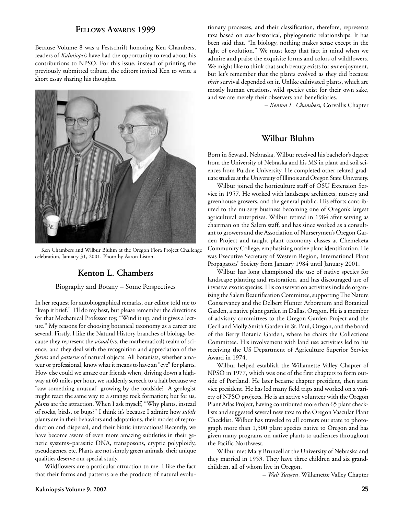# **FELLOWS AWARDS 1999**

Because Volume 8 was a Festschrift honoring Ken Chambers, readers of *Kalmiopsis* have had the opportunity to read about his contributions to NPSO. For this issue, instead of printing the previously submitted tribute, the editors invited Ken to write a short essay sharing his thoughts.



Ken Chambers and Wilbur Bluhm at the Oregon Flora Project Challenge celebration, January 31, 2001. Photo by Aaron Liston.

# **Kenton L. Chambers**

### Biography and Botany – Some Perspectives

In her request for autobiographical remarks, our editor told me to "keep it brief." I'll do my best, but please remember the directions for that Mechanical Professor toy, "Wind it up, and it gives a lecture." My reasons for choosing botanical taxonomy as a career are several. Firstly, I like the Natural History branches of biology, because they represent the *visual* (vs. the mathematical) realm of science, and they deal with the recognition and appreciation of the *forms* and *patterns* of natural objects. All botanists, whether amateur or professional, know what it means to have an "eye" for plants. How else could we amaze our friends when, driving down a highway at 60 miles per hour, we suddenly screech to a halt because we "saw something unusual" growing by the roadside? A geologist might react the same way to a strange rock formation; but for us, *plants* are the attraction. When I ask myself, "Why plants, instead of rocks, birds, or bugs?" I think it's because I admire how *subtle* plants are in their behaviors and adaptations, their modes of reproduction and dispersal, and their biotic interactions! Recently, we have become aware of even more amazing subtleties in their genetic systems–parasitic DNA, transposons, cryptic polyploidy, pseudogenes, etc. Plants are not simply green animals; their unique qualities deserve our special study.

Wildflowers are a particular attraction to me. I like the fact that their forms and patterns are the products of natural evolutionary processes, and their classification, therefore, represents taxa based on *true* historical, phylogenetic relationships. It has been said that, "In biology, nothing makes sense except in the light of evolution." We must keep that fact in mind when we admire and praise the exquisite forms and colors of wildflowers. We might like to think that such beauty exists for *our* enjoyment, but let's remember that the plants evolved as they did because *their* survival depended on it. Unlike cultivated plants, which are mostly human creations, wild species exist for their own sake, and we are merely their observers and beneficiaries.

– *Kenton L. Chambers,* Corvallis Chapter

# **Wilbur Bluhm**

Born in Seward, Nebraska, Wilbur received his bachelor's degree from the University of Nebraska and his MS in plant and soil sciences from Purdue University. He completed other related graduate studies at the University of Illinois and Oregon State University.

Wilbur joined the horticulture staff of OSU Extension Service in 1957. He worked with landscape architects, nursery and greenhouse growers, and the general public. His efforts contributed to the nursery business becoming one of Oregon's largest agricultural enterprises. Wilbur retired in 1984 after serving as chairman on the Salem staff, and has since worked as a consultant to growers and the Association of Nurserymen's Oregon Garden Project and taught plant taxonomy classes at Chemeketa Community College, emphasizing native plant identification. He was Executive Secretary of Western Region, International Plant Propagators' Society from January 1984 until January 2001.

Wilbur has long championed the use of native species for landscape planting and restoration, and has discouraged use of invasive exotic species. His conservation activities include organizing the Salem Beautification Committee, supporting The Nature Conservancy and the Delbert Hunter Arboretum and Botanical Garden, a native plant garden in Dallas, Oregon. He is a member of advisory committees to the Oregon Garden Project and the Cecil and Molly Smith Garden in St. Paul, Oregon, and the board of the Berry Botanic Garden, where he chairs the Collections Committee. His involvement with land use activities led to his receiving the US Department of Agriculture Superior Service Award in 1974.

Wilbur helped establish the Willamette Valley Chapter of NPSO in 1977, which was one of the first chapters to form outside of Portland. He later became chapter president, then state vice president. He has led many field trips and worked on a variety of NPSO projects. He is an active volunteer with the Oregon Plant Atlas Project, having contributed more than 65 plant checklists and suggested several new taxa to the Oregon Vascular Plant Checklist. Wilbur has traveled to all corners our state to photograph more than 1,500 plant species native to Oregon and has given many programs on native plants to audiences throughout the Pacific Northwest.

Wilbur met Mary Brunzell at the University of Nebraska and they married in 1953. They have three children and six grandchildren, all of whom live in Oregon.

– *Walt Yungen*, Willamette Valley Chapter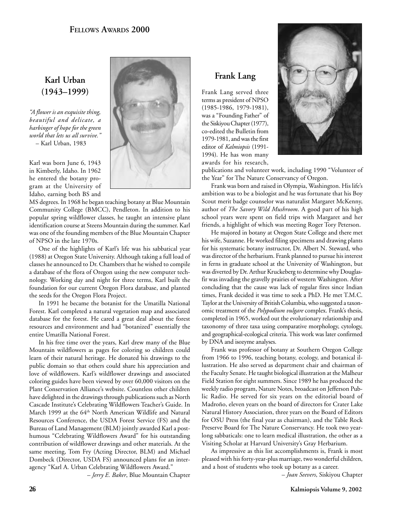# **Karl Urban (1943–1999)**

*"A flower is an exquisite thing, beautiful and delicate, a harbinger of hope for the green world that lets us all survive."* – Karl Urban, 1983

Karl was born June 6, 1943 in Kimberly, Idaho. In 1962 he entered the botany program at the University of Idaho, earning both BS and

MS degrees. In 1968 he began teaching botany at Blue Mountain Community College (BMCC), Pendleton. In addition to his popular spring wildflower classes, he taught an intensive plant identification course at Steens Mountain during the summer. Karl was one of the founding members of the Blue Mountain Chapter of NPSO in the late 1970s.

One of the highlights of Karl's life was his sabbatical year (1988) at Oregon State University. Although taking a full load of classes he announced to Dr. Chambers that he wished to compile a database of the flora of Oregon using the new computer technology. Working day and night for three terms, Karl built the foundation for our current Oregon Flora database, and planted the seeds for the Oregon Flora Project.

In 1991 he became the botanist for the Umatilla National Forest. Karl completed a natural vegetation map and associated database for the forest. He cared a great deal about the forest resources and environment and had "botanized" essentially the entire Umatilla National Forest.

In his free time over the years, Karl drew many of the Blue Mountain wildflowers as pages for coloring so children could learn of their natural heritage. He donated his drawings to the public domain so that others could share his appreciation and love of wildflowers. Karl's wildflower drawings and associated coloring guides have been viewed by over 60,000 visitors on the Plant Conservation Alliance's website. Countless other children have delighted in the drawings through publications such as North Cascade Institute's Celebrating Wildflowers Teacher's Guide. In March 1999 at the 64th North American Wildlife and Natural Resources Conference, the USDA Forest Service (FS) and the Bureau of Land Management (BLM) jointly awarded Karl a posthumous "Celebrating Wildflowers Award" for his outstanding contribution of wildflower drawings and other materials. At the same meeting, Tom Fry (Acting Director, BLM) and Michael Dombeck (Director, USDA FS) announced plans for an interagency "Karl A. Urban Celebrating Wildflowers Award."

– *Jerry E. Baker*, Blue Mountain Chapter

# **Frank Lang**

Frank Lang served three terms as president of NPSO (1985-1986, 1979-1981), was a "Founding Father" of the Siskiyou Chapter (1977), co-edited the Bulletin from 1979-1981, and was the first editor of *Kalmiopsis* (1991- 1994). He has won many awards for his research,



publications and volunteer work, including 1990 "Volunteer of the Year" for The Nature Conservancy of Oregon.

Frank was born and raised in Olympia, Washington. His life's ambition was to be a biologist and he was fortunate that his Boy Scout merit badge counselor was naturalist Margaret McKenny, author of *The Savory Wild Mushroom*. A good part of his high school years were spent on field trips with Margaret and her friends, a highlight of which was meeting Roger Tory Peterson.

He majored in botany at Oregon State College and there met his wife, Suzanne. He worked filing specimens and drawing plants for his systematic botany instructor, Dr. Albert N. Steward, who was director of the herbarium. Frank planned to pursue his interest in ferns in graduate school at the University of Washington, but was diverted by Dr. Arthur Kruckeberg to determine why Douglasfir was invading the gravelly prairies of western Washington. After concluding that the cause was lack of regular fires since Indian times, Frank decided it was time to seek a PhD. He met T.M.C. Taylor at the University of British Columbia, who suggested a taxonomic treatment of the *Polypodium vulgare* complex. Frank's thesis, completed in 1965, worked out the evolutionary relationship and taxonomy of three taxa using comparative morphology, cytology, and geographical-ecological criteria. This work was later confirmed by DNA and isozyme analyses.

Frank was professor of botany at Southern Oregon College from 1966 to 1996, teaching botany, ecology, and botanical illustration. He also served as department chair and chairman of the Faculty Senate. He taught biological illustration at the Malheur Field Station for eight summers. Since 1989 he has produced the weekly radio program, Nature Notes, broadcast on Jefferson Public Radio. He served for six years on the editorial board of Madroño, eleven years on the board of directors for Crater Lake Natural History Association, three years on the Board of Editors for OSU Press (the final year as chairman), and the Table Rock Preserve Board for The Nature Conservancy. He took two yearlong sabbaticals: one to learn medical illustration, the other as a Visiting Scholar at Harvard University's Gray Herbarium.

As impressive as this list accomplishments is, Frank is most pleased with his forty-year-plus marriage, two wonderful children, and a host of students who took up botany as a career.

– *Joan Seevers*, Siskiyou Chapter

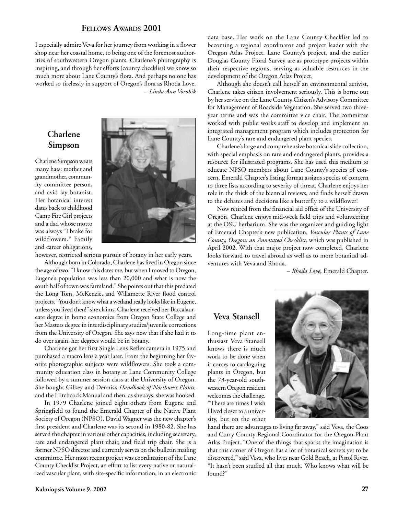# **FELLOWS AWARDS 2001**

I especially admire Veva for her journey from working in a flower shop near her coastal home, to being one of the foremost authorities of southwestern Oregon plants. Charlene's photography is inspiring, and through her efforts (county checklist) we know so much more about Lane County's flora. And perhaps no one has worked so tirelessly in support of Oregon's flora as Rhoda Love. – *Linda Ann Vorobik*

# **Charlene Simpson**

Charlene Simpson wears many hats: mother and grandmother, community committee person, and avid lay botanist. Her botanical interest dates back to childhood Camp Fire Girl projects and a dad whose motto was always "I brake for wildflowers." Family and career obligations,



however, restricted serious pursuit of botany in her early years.

Although born in Colorado, Charlene has lived in Oregon since the age of two. "I know this dates me, but when I moved to Oregon, Eugene's population was less than 20,000 and what is now the south half of town was farmland." She points out that this predated the Long Tom, McKenzie, and Willamette River flood control projects. "You don't know what a wetland really looks like in Eugene, unless you lived then!" she claims. Charlene received her Baccalaureate degree in home economics from Oregon State College and her Masters degree in interdisciplinary studies/juvenile corrections from the University of Oregon. She says now that if she had it to do over again, her degrees would be in botany.

Charlene got her first Single Lens Reflex camera in 1975 and purchased a macro lens a year later. From the beginning her favorite photographic subjects were wildflowers. She took a community education class in botany at Lane Community College followed by a summer session class at the University of Oregon. She bought Gilkey and Dennis's *Handbook of Northwest Plants,* and the Hitchcock Manual and then, as she says, she was hooked.

In 1979 Charlene joined eight others from Eugene and Springfield to found the Emerald Chapter of the Native Plant Society of Oregon (NPSO). David Wagner was the new chapter's first president and Charlene was its second in 1980-82. She has served the chapter in various other capacities, including secretary, rare and endangered plant chair, and field trip chair. She is a former NPSO director and currently serves on the bulletin mailing committee. Her most recent project was coordination of the Lane County Checklist Project, an effort to list every native or naturalized vascular plant, with site-specific information, in an electronic

Although she doesn't call herself an environmental activist, Charlene takes citizen involvement seriously. This is borne out by her service on the Lane County Citizen's Advisory Committee for Management of Roadside Vegetation. She served two threeyear terms and was the committee vice chair. The committee worked with public works staff to develop and implement an integrated management program which includes protection for Lane County's rare and endangered plant species.

Charlene's large and comprehensive botanical slide collection, with special emphasis on rare and endangered plants, provides a resource for illustrated programs. She has used this medium to educate NPSO members about Lane County's species of concern. Emerald Chapter's listing format assigns species of concern to three lists according to severity of threat. Charlene enjoys her role in the thick of the biennial reviews, and finds herself drawn to the debates and decisions like a butterfly to a wildflower!

Now retired from the financial aid office of the University of Oregon, Charlene enjoys mid-week field trips and volunteering at the OSU herbarium. She was the organizer and guiding light of Emerald Chapter's new publication, *Vascular Plants of Lane County, Oregon: an Annotated Checklist,* which was published in April 2002. With that major project now completed, Charlene looks forward to travel abroad as well as to more botanical adventures with Veva and Rhoda.

– *Rhoda Love*, Emerald Chapter.

# **Veva Stansell**

Long-time plant enthusiast Veva Stansell knows there is much work to be done when it comes to cataloguing plants in Oregon, but the 73-year-old southwestern Oregon resident welcomes the challenge. "There are times I wish I lived closer to a university, but on the other



hand there are advantages to living far away," said Veva, the Coos and Curry County Regional Coordinator for the Oregon Plant Atlas Project. "One of the things that sparks the imagination is that this corner of Oregon has a lot of botanical secrets yet to be discovered," said Veva, who lives near Gold Beach, at Pistol River. "It hasn't been studied all that much. Who knows what will be found?"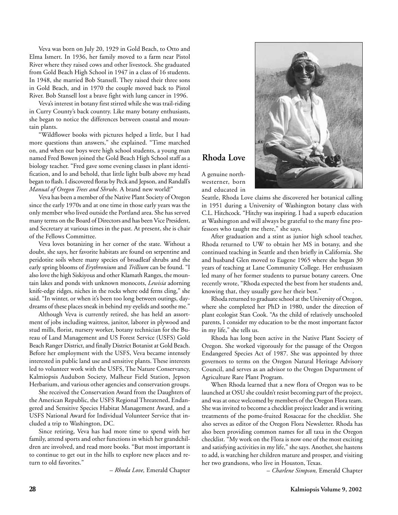Veva was born on July 20, 1929 in Gold Beach, to Otto and Elma Ismert. In 1936, her family moved to a farm near Pistol River where they raised cows and other livestock. She graduated from Gold Beach High School in 1947 in a class of 16 students. In 1948, she married Bob Stansell. They raised their three sons in Gold Beach, and in 1970 the couple moved back to Pistol River. Bob Stansell lost a brave fight with lung cancer in 1996.

Veva's interest in botany first stirred while she was trail-riding in Curry County's back country. Like many botany enthusiasts, she began to notice the differences between coastal and mountain plants.

"Wildflower books with pictures helped a little, but I had more questions than answers," she explained. "Time marched on, and when our boys were high school students, a young man named Fred Bowen joined the Gold Beach High School staff as a biology teacher. "Fred gave some evening classes in plant identification, and lo and behold, that little light bulb above my head began to flash. I discovered floras by Peck and Jepson, and Randall's *Manual of Oregon Trees and Shrubs.* A brand new world!"

Veva has been a member of the Native Plant Society of Oregon since the early 1970s and at one time in those early years was the only member who lived outside the Portland area. She has served many terms on the Board of Directors and has been Vice President, and Secretary at various times in the past. At present, she is chair of the Fellows Committee.

Veva loves botanizing in her corner of the state. Without a doubt, she says, her favorite habitats are found on serpentine and peridotite soils where many species of broadleaf shrubs and the early spring blooms of *Erythronium* and *Trillium* can be found. "I also love the high Siskiyous and other Klamath Ranges, the mountain lakes and ponds with unknown monocots, *Lewisia* adorning knife-edge ridges, niches in the rocks where odd ferns cling," she said. "In winter, or when it's been too long between outings, daydreams of these places sneak in behind my eyelids and soothe me."

Although Veva is currently retired, she has held an assortment of jobs including waitress, janitor, laborer in plywood and stud mills, florist, nursery worker, botany technician for the Bureau of Land Management and US Forest Service (USFS) Gold Beach Ranger District, and finally District Botanist at Gold Beach. Before her employment with the USFS, Veva became intensely interested in public land use and sensitive plants. These interests led to volunteer work with the USFS, The Nature Conservancy, Kalmiopsis Audubon Society, Malheur Field Station, Jepson Herbarium, and various other agencies and conservation groups.

She received the Conservation Award from the Daughters of the American Republic, the USFS Regional Threatened, Endangered and Sensitive Species Habitat Management Award, and a USFS National Award for Individual Volunteer Service that included a trip to Washington, DC.

Since retiring, Veva has had more time to spend with her family, attend sports and other functions in which her grandchildren are involved, and read more books. "But most important is to continue to get out in the hills to explore new places and return to old favorites."

– *Rhoda Love,* Emerald Chapter



# **Rhoda Love**

A genuine northwesterner, born and educated in

Seattle, Rhoda Love claims she discovered her botanical calling in 1951 during a University of Washington botany class with C.L. Hitchcock. "Hitchy was inspiring. I had a superb education at Washington and will always be grateful to the many fine professors who taught me there," she says.

After graduation and a stint as junior high school teacher, Rhoda returned to UW to obtain her MS in botany, and she continued teaching in Seattle and then briefly in California. She and husband Glen moved to Eugene 1965 where she began 30 years of teaching at Lane Community College. Her enthusiasm led many of her former students to pursue botany careers. One recently wrote, "Rhoda expected the best from her students and, knowing that, they usually gave her their best."

Rhoda returned to graduate school at the University of Oregon, where she completed her PhD in 1980, under the direction of plant ecologist Stan Cook. "As the child of relatively unschooled parents, I consider my education to be the most important factor in my life," she tells us.

Rhoda has long been active in the Native Plant Society of Oregon. She worked vigorously for the passage of the Oregon Endangered Species Act of 1987. She was appointed by three governors to terms on the Oregon Natural Heritage Advisory Council, and serves as an advisor to the Oregon Department of Agriculture Rare Plant Program.

When Rhoda learned that a new flora of Oregon was to be launched at OSU she couldn't resist becoming part of the project, and was at once welcomed by members of the Oregon Flora team. She was invited to become a checklist project leader and is writing treatments of the pome-fruited Rosaceae for the checklist. She also serves as editor of the Oregon Flora Newsletter. Rhoda has also been providing common names for all taxa in the Oregon checklist. "My work on the Flora is now one of the most exciting and satisfying activities in my life," she says. Another, she hastens to add, is watching her children mature and prosper, and visiting her two grandsons, who live in Houston, Texas.

– *Charlene Simpson,* Emerald Chapter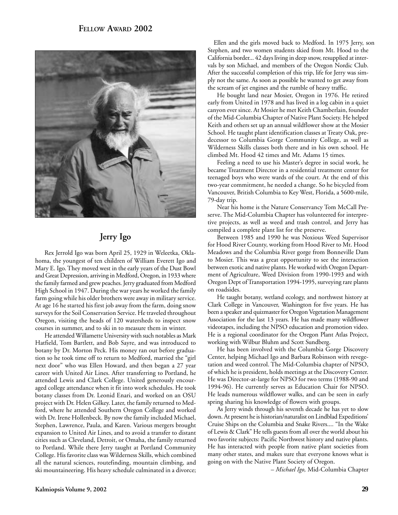

# **Jerry Igo**

Rex Jerrold Igo was born April 25, 1929 in Weleetka, Oklahoma, the youngest of ten children of William Everett Igo and Mary E. Igo.They moved west in the early years of the Dust Bowl and Great Depression, arriving in Medford, Oregon, in 1933 where the family farmed and grew peaches. Jerry graduated from Medford High School in 1947. During the war years he worked the family farm going while his older brothers were away in military service. At age 16 he started his first job away from the farm, doing snow surveys for the Soil Conservation Service. He traveled throughout Oregon, visiting the heads of 120 watersheds to inspect snow courses in summer, and to ski in to measure them in winter.

He attended Willamette University with such notables as Mark Hatfield, Tom Bartlett, and Bob Sayre, and was introduced to botany by Dr. Morton Peck. His money ran out before graduation so he took time off to return to Medford, married the "girl next door" who was Ellen Howard, and then began a 27 year career with United Air Lines. After transferring to Portland, he attended Lewis and Clark College. United generously encouraged college attendance when it fit into work schedules. He took botany classes from Dr. Leonid Enari, and worked on an OSU project with Dr. Helen Gilkey. Later, the family returned to Medford, where he attended Southern Oregon College and worked with Dr. Irene Hollenbeck. By now the family included Michael, Stephen, Lawrence, Paula, and Karen. Various mergers brought expansion to United Air Lines, and to avoid a transfer to distant cities such as Cleveland, Detroit, or Omaha, the family returned to Portland. While there Jerry taught at Portland Community College. His favorite class was Wilderness Skills, which combined all the natural sciences, routefinding, mountain climbing, and ski mountaineering. His heavy schedule culminated in a divorce;

Ellen and the girls moved back to Medford. In 1975 Jerry, son Stephen, and two women students skied from Mt. Hood to the California border... 42 days living in deep snow, resupplied at intervals by son Michael, and members of the Oregon Nordic Club. After the successful completion of this trip, life for Jerry was simply not the same. As soon as possible he wanted to get away from the scream of jet engines and the rumble of heavy traffic.

He bought land near Mosier, Oregon in 1976. He retired early from United in 1978 and has lived in a log cabin in a quiet canyon ever since. At Mosier he met Keith Chamberlain, founder of the Mid-Columbia Chapter of Native Plant Society. He helped Keith and others set up an annual wildflower show at the Mosier School. He taught plant identification classes at Treaty Oak, predecessor to Columbia Gorge Community College, as well as Wilderness Skills classes both there and in his own school. He climbed Mt. Hood 42 times and Mt. Adams 15 times.

Feeling a need to use his Master's degree in social work, he became Treatment Director in a residential treatment center for teenaged boys who were wards of the court. At the end of this two-year commitment, he needed a change. So he bicycled from Vancouver, British Columbia to Key West, Florida, a 5600-mile, 79-day trip.

Near his home is the Nature Conservancy Tom McCall Preserve. The Mid-Columbia Chapter has volunteered for interpretive projects, as well as weed and trash control, and Jerry has compiled a complete plant list for the preserve.

Between 1985 and 1990 he was Noxious Weed Supervisor for Hood River County, working from Hood River to Mt. Hood Meadows and the Columbia River gorge from Bonneville Dam to Mosier. This was a great opportunity to see the interaction between exotic and native plants. He worked with Oregon Department of Agriculture, Weed Division from 1990-1993 and with Oregon Dept of Transportation 1994-1995, surveying rare plants on roadsides.

He taught botany, wetland ecology, and northwest history at Clark College in Vancouver, Washington for five years. He has been a speaker and quizmaster for Oregon Vegetation Management Association for the last 13 years. He has made many wildflower videotapes, including the NPSO education and promotion video. He is a regional coordinator for the Oregon Plant Atlas Project, working with Wilbur Bluhm and Scott Sundberg.

He has been involved with the Columbia Gorge Discovery Center, helping Michael Igo and Barbara Robinson with revegetation and weed control. The Mid-Columbia chapter of NPSO, of which he is president, holds meetings at the Discovery Center. He was Director-at-large for NPSO for two terms (1988-90 and 1994-96). He currently serves as Education Chair for NPSO. He leads numerous wildflower walks, and can be seen in early spring sharing his knowledge of flowers with groups.

As Jerry winds through his seventh decade he has yet to slow down. At present he is historian/naturalist on Lindblad Expeditions' Cruise Ships on the Columbia and Snake Rivers.... "In the Wake of Lewis & Clark" He tells guests from all over the world about his two favorite subjects: Pacific Northwest history and native plants. He has interacted with people from native plant societies from many other states, and makes sure that everyone knows what is going on with the Native Plant Society of Oregon.

– *Michael Igo,* Mid-Columbia Chapter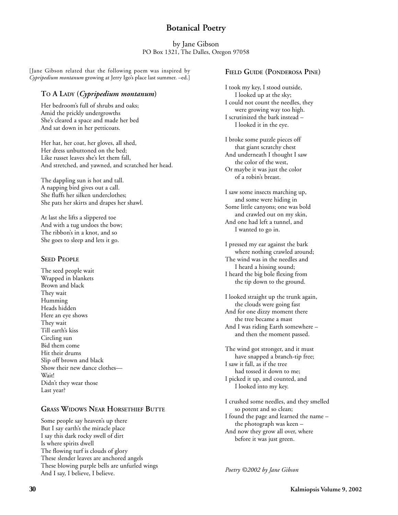# **Botanical Poetry**

by Jane Gibson PO Box 1321, The Dalles, Oregon 97058

[Jane Gibson related that the following poem was inspired by *Cypripedium montanum* growing at Jerry Igo's place last summer. –ed.]

### **TO A LADY (***Cypripedium montanum***)**

Her bedroom's full of shrubs and oaks; Amid the prickly undergrowths She's cleared a space and made her bed And sat down in her petticoats.

Her hat, her coat, her gloves, all shed, Her dress unbuttoned on the bed; Like russet leaves she's let them fall, And stretched, and yawned, and scratched her head.

The dappling sun is hot and tall. A napping bird gives out a call. She fluffs her silken underclothes; She pats her skirts and drapes her shawl.

At last she lifts a slippered toe And with a tug undoes the bow; The ribbon's in a knot, and so She goes to sleep and lets it go.

### **SEED PEOPLE**

The seed people wait Wrapped in blankets Brown and black They wait Humming Heads hidden Here an eye shows They wait Till earth's kiss Circling sun Bid them come Hit their drums Slip off brown and black Show their new dance clothes— Wait! Didn't they wear those Last year?

### **GRASS WIDOWS NEAR HORSETHIEF BUTTE**

Some people say heaven's up there But I say earth's the miracle place I say this dark rocky swell of dirt Is where spirits dwell The flowing turf is clouds of glory These slender leaves are anchored angels These blowing purple bells are unfurled wings And I say, I believe, I believe.

### **FIELD GUIDE (PONDEROSA PINE)**

I took my key, I stood outside, I looked up at the sky; I could not count the needles, they were growing way too high. I scrutinized the bark instead – I looked it in the eye.

I broke some puzzle pieces off that giant scratchy chest And underneath I thought I saw the color of the west, Or maybe it was just the color of a robin's breast.

I saw some insects marching up, and some were hiding in Some little canyons; one was bold and crawled out on my skin, And one had left a tunnel, and I wanted to go in.

I pressed my ear against the bark where nothing crawled around; The wind was in the needles and I heard a hissing sound; I heard the big bole flexing from the tip down to the ground.

I looked straight up the trunk again, the clouds were going fast And for one dizzy moment there the tree became a mast And I was riding Earth somewhere – and then the moment passed.

The wind got stronger, and it must have snapped a branch-tip free; I saw it fall, as if the tree had tossed it down to me; I picked it up, and counted, and I looked into my key.

I crushed some needles, and they smelled so potent and so clean; I found the page and learned the name – the photograph was keen – And now they grow all over, where before it was just green.

*Poetry ©2002 by Jane Gibson*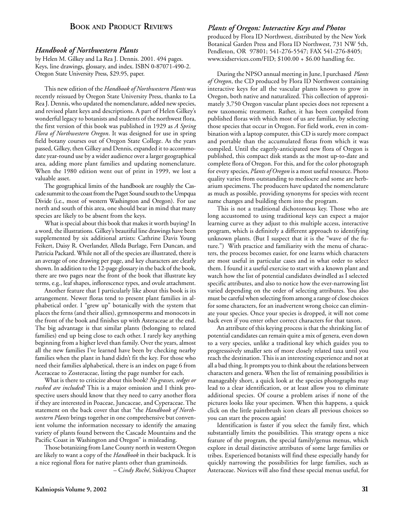# **BOOK AND PRODUCT REVIEWS**

### *Handbook of Northwestern Plants*

by Helen M. Gilkey and La Rea J. Dennis. 2001. 494 pages. Keys, line drawings, glossary, and index. ISBN 0-87071-490-2. Oregon State University Press, \$29.95, paper.

This new edition of the *Handbook of Northwestern Plants* was recently reissued by Oregon State University Press, thanks to La Rea J. Dennis, who updated the nomenclature, added new species, and revised plant keys and descriptions. A part of Helen Gilkey's wonderful legacy to botanists and students of the northwest flora, the first version of this book was published in 1929 as *A Spring Flora of Northwestern Oregon*. It was designed for use in spring field botany courses out of Oregon State College. As the years passed, Gilkey, then Gilkey and Dennis, expanded it to accommodate year-round use by a wider audience over a larger geographical area, adding more plant families and updating nomenclature. When the 1980 edition went out of print in 1999, we lost a valuable asset.

The geographical limits of the handbook are roughly the Cascade summit to the coast from the Puget Sound south to the Umpqua Divide (i.e., most of western Washington and Oregon). For use north and south of this area, one should bear in mind that many species are likely to be absent from the keys.

What is special about this book that makes it worth buying? In a word, the illustrations. Gilkey's beautiful line drawings have been supplemented by six additional artists: Cathrine Davis Young Feikert, Daisy R. Overlander, Alleda Burlage, Fern Duncan, and Patricia Packard. While not all of the species are illustrated, there is an average of one drawing per page, and key characters are clearly shown. In addition to the 12-page glossary in the back of the book, there are two pages near the front of the book that illustrate key terms, e.g., leaf shapes, inflorescence types, and ovule attachment.

Another feature that I particularly like about this book is its arrangement. Newer floras tend to present plant families in alphabetical order. I "grew up" botanically with the system that places the ferns (and their allies), gymnosperms and monocots in the front of the book and finishes up with Asteraceae at the end. The big advantage is that similar plants (belonging to related families) end up being close to each other. I rarely key anything beginning from a higher level than family. Over the years, almost all the new families I've learned have been by checking nearby families when the plant in hand didn't fit the key. For those who need their families alphabetical, there is an index on page 6 from Aceraceae to Zosteraceae, listing the page number for each.

What is there to criticize about this book? *No grasses, sedges or rushed are included!* This is a major omission and I think prospective users should know that they need to carry another flora if they are interested in Poaceae, Juncaceae, and Cyperaceae. The statement on the back cover that that "the *Handbook of Northwestern Plants* brings together in one comprehensive but convenient volume the information necessary to identify the amazing variety of plants found between the Cascade Mountains and the Pacific Coast in Washington and Oregon" is misleading.

Those botanizing from Lane County north in western Oregon are likely to want a copy of the *Handbook* in their backpack. It is a nice regional flora for native plants other than graminoids.

– C*indy Roché*, Siskiyou Chapter

### *Plants of Oregon: Interactive Keys and Photos*

produced by Flora ID Northwest, distributed by the New York Botanical Garden Press and Flora ID Northwest, 731 NW 5th, Pendleton, OR 97801; 541-276-5547; FAX 541-276-8405; www.xidservices.com/FID; \$100.00 + \$6.00 handling fee.

During the NPSO annual meeting in June, I purchased *Plants of Oregon*, the CD produced by Flora ID Northwest containing interactive keys for all the vascular plants known to grow in Oregon, both native and naturalized. This collection of approximately 3,750 Oregon vascular plant species does not represent a new taxonomic treatment. Rather, it has been compiled from published floras with which most of us are familiar, by selecting those species that occur in Oregon. For field work, even in combination with a laptop computer, this CD is surely more compact and portable than the accumulated floras from which it was compiled. Until the eagerly-anticipated new flora of Oregon is published, this compact disk stands as the most up-to-date and complete flora of Oregon. For this, and for the color photograph for every species, *Plants of Oregon* is a most useful resource. Photo quality varies from outstanding to mediocre and some are herbarium specimens. The producers have updated the nomenclature as much as possible, providing synonyms for species with recent name changes and building them into the program.

This is not a traditional dichotomous key. Those who are long accustomed to using traditional keys can expect a major learning curve as they adjust to this multiple access, interactive program, which is definitely a different approach to identifying unknown plants. (But I suspect that it is the "wave of the future.") With practice and familiarity with the menu of characters, the process becomes easier, for one learns which characters are most useful in particular cases and in what order to select them. I found it a useful exercise to start with a known plant and watch how the list of potential candidates dwindled as I selected specific attributes, and also to notice how the ever-narrowing list varied depending on the order of selecting attributes. You also must be careful when selecting from among a range of close choices for some characters, for an inadvertent wrong choice can eliminate your species. Once your species is dropped, it will not come back even if you enter other correct characters for that taxon.

An attribute of this keying process is that the shrinking list of potential candidates can remain quite a mix of genera, even down to a very species, unlike a traditional key which guides you to progresssively smaller sets of more closely related taxa until you reach the destination. This is an interesting experience and not at all a bad thing. It prompts you to think about the relations between characters and genera. When the list of remaining possibilities is manageably short, a quick look at the species photographs may lead to a clear identification, or at least allow you to eliminate additional species. Of course a problem arises if none of the pictures looks like your specimen. When this happens, a quick click on the little paintbrush icon clears all previous choices so you can start the process again!

Identification is faster if you select the family first, which substantially limits the possibilities. This strategy opens a nice feature of the program, the special family/genus menus, which explore in detail distinctive attributes of some large families or tribes. Experienced botanists will find these especially handy for quickly narrowing the possibilities for large families, such as Asteraceae. Novices will also find these special menus useful, for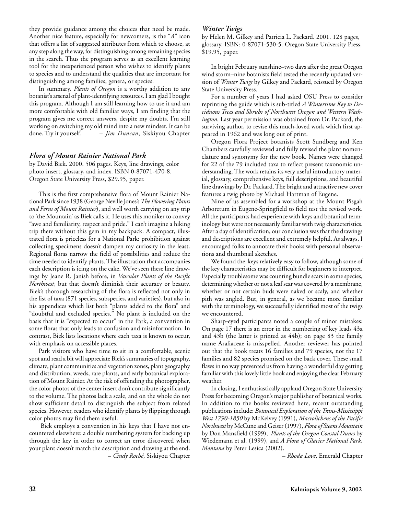they provide guidance among the choices that need be made. Another nice feature, especially for newcomers, is the "*A*" icon that offers a list of suggested attributes from which to choose, at any step along the way, for distinguishing among remaining species in the search. Thus the program serves as an excellent learning tool for the inexperienced person who wishes to identify plants to species and to understand the qualities that are important for distinguishing among families, genera, or species.

In summary, *Plants of Oregon* is a worthy addition to any botanist's arsenal of plant-identifying resources. I am glad I bought this program. Although I am still learning how to use it and am more comfortable with old familiar ways, I am finding that the program gives me correct answers, despite my doubts. I'm still working on switching my old mind into a new mindset. It can be done. Try it yourself. – *Jim Duncan*, Siskiyou Chapter

### *Flora of Mount Rainier National Park*

by David Biek. 2000. 506 pages. Keys, line drawings, color photo insert, glossary, and index. ISBN 0-87071-470-8. Oregon State University Press, \$29.95, paper.

This is the first comprehensive flora of Mount Rainier National Park since 1938 (George Neville Jones's *The Flowering Plants and Ferns of Mount Rainier*), and well worth carrying on any trip to 'the Mountain' as Biek calls it. He uses this moniker to convey "awe and familiarity, respect and pride." I can't imagine a hiking trip there without this gem in my backpack. A compact, illustrated flora is priceless for a National Park: prohibition against collecting specimens doesn't dampen my curiosity in the least. Regional floras narrow the field of possibilities and reduce the time needed to identify plants. The illustration that accompanies each description is icing on the cake. We've seen these line drawings by Jeane R. Janish before, in *Vascular Plants of the Pacific Northwest*, but that doesn't diminish their accuracy or beauty. Biek's thorough researching of the flora is reflected not only in the list of taxa (871 species, subspecies, and varieties), but also in his appendices which list both "plants added to the flora" and "doubtful and excluded species." No plant is included on the basis that it is "expected to occur" in the Park, a convention in some floras that only leads to confusion and misinformation. In contrast, Biek lists locations where each taxa is known to occur, with emphasis on accessible places.

Park visitors who have time to sit in a comfortable, scenic spot and read a bit will appreciate Biek's summaries of topography, climate, plant communities and vegetation zones, plant geography and distribution, weeds, rare plants, and early botanical exploration of Mount Rainier. At the risk of offending the photographer, the color photos of the center insert don't contribute significantly to the volume. The photos lack a scale, and on the whole do not show sufficient detail to distinguish the subject from related species. However, readers who identify plants by flipping through color photos may find them useful.

 Biek employs a convention in his keys that I have not encountered elsewhere: a double numbering system for backing up through the key in order to correct an error discovered when your plant doesn't match the description and drawing at the end. – *Cindy Roché*, Siskiyou Chapter

### *Winter Twigs*

by Helen M. Gilkey and Patricia L. Packard. 2001. 128 pages, glossary. ISBN: 0-87071-530-5. Oregon State University Press, \$19.95, paper.

In bright February sunshine–two days after the great Oregon wind storm–nine botanists field tested the recently updated version of *Winter Twigs* by Gilkey and Packard, reissued by Oregon State University Press.

For a number of years I had asked OSU Press to consider reprinting the guide which is sub-titled *A Wintertime Key to Deciduous Trees and Shrubs of Northwest Oregon and Western Washington.* Last year permission was obtained from Dr. Packard, the surviving author, to revise this much-loved work which first appeared in 1962 and was long out of print.

Oregon Flora Project botanists Scott Sundberg and Ken Chambers carefully reviewed and fully revised the plant nomenclature and synonymy for the new book. Names were changed for 22 of the 79 included taxa to reflect present taxonomic understanding. The work retains its very useful introductory material, glossary, comprehensive keys, full descriptions, and beautiful line drawings by Dr. Packard. The bright and attractive new cover features a twig photo by Michael Hartman of Eugene.

Nine of us assembled for a workshop at the Mount Pisgah Arboretum in Eugene-Springfield to field test the revised work. All the participants had experience with keys and botanical terminology but were not necessarily familiar with twig characteristics. After a day of identification, our conclusion was that the drawings and descriptions are excellent and extremely helpful. As always, I encouraged folks to annotate their books with personal observations and thumbnail sketches.

We found the keys relatively easy to follow, although some of the key characteristics may be difficult for beginners to interpret. Especially troublesome was counting bundle scars in some species, determining whether or not a leaf scar was covered by a membrane, whether or not certain buds were naked or scaly, and whether pith was angled. But, in general, as we became more familiar with the terminology, we successfully identified most of the twigs we encountered.

Sharp-eyed participants noted a couple of minor mistakes: On page 17 there is an error in the numbering of key leads 43a and 43b (the latter is printed as 44b); on page 83 the family name Araliaceae is misspelled. Another reviewer has pointed out that the book treats 16 families and 79 species, not the 17 families and 82 species promised on the back cover. These small flaws in no way prevented us from having a wonderful day getting familiar with this lovely little book and enjoying the clear February weather.

In closing, I enthusiastically applaud Oregon State University Press for becoming Oregon's major publisher of botanical works. In addition to the books reviewed here, recent outstanding publications include: *Botanical Exploration of the Trans-Mississippi West 1790-1850* by McKelvey (1991), *Macrolichens of the Pacific Northwest* by McCune and Geiser (1997), *Flora of Steens Mountain* by Don Mansfield (1999), *Plants of the Oregon Coastal Dunes* by Wiedemann et al. (1999), and *A Flora of Glacier National Park, Montana* by Peter Lesica (2002).

– *Rhoda Love*, Emerald Chapter